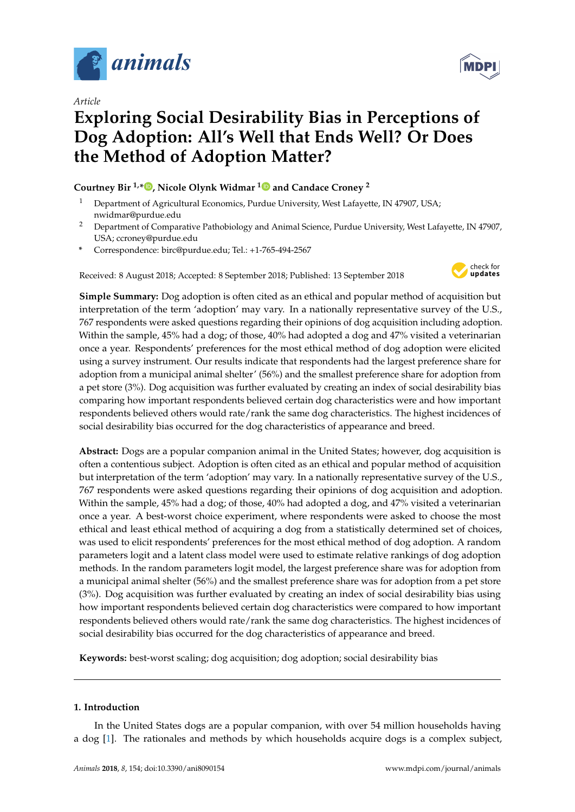

*Article*

# **Exploring Social Desirability Bias in Perceptions of Dog Adoption: All's Well that Ends Well? Or Does the Method of Adoption Matter?**

# **Courtney Bir 1,[\\*](https://orcid.org/0000-0003-0862-8241) , Nicole Olynk Widmar [1](https://orcid.org/0000-0002-6574-5295) and Candace Croney <sup>2</sup>**

- <sup>1</sup> Department of Agricultural Economics, Purdue University, West Lafayette, IN 47907, USA; nwidmar@purdue.edu
- <sup>2</sup> Department of Comparative Pathobiology and Animal Science, Purdue University, West Lafayette, IN 47907, USA; ccroney@purdue.edu
- **\*** Correspondence: birc@purdue.edu; Tel.: +1-765-494-2567

Received: 8 August 2018; Accepted: 8 September 2018; Published: 13 September 2018



**Simple Summary:** Dog adoption is often cited as an ethical and popular method of acquisition but interpretation of the term 'adoption' may vary. In a nationally representative survey of the U.S., 767 respondents were asked questions regarding their opinions of dog acquisition including adoption. Within the sample, 45% had a dog; of those, 40% had adopted a dog and 47% visited a veterinarian once a year. Respondents' preferences for the most ethical method of dog adoption were elicited using a survey instrument. Our results indicate that respondents had the largest preference share for adoption from a municipal animal shelter' (56%) and the smallest preference share for adoption from a pet store (3%). Dog acquisition was further evaluated by creating an index of social desirability bias comparing how important respondents believed certain dog characteristics were and how important respondents believed others would rate/rank the same dog characteristics. The highest incidences of social desirability bias occurred for the dog characteristics of appearance and breed.

**Abstract:** Dogs are a popular companion animal in the United States; however, dog acquisition is often a contentious subject. Adoption is often cited as an ethical and popular method of acquisition but interpretation of the term 'adoption' may vary. In a nationally representative survey of the U.S., 767 respondents were asked questions regarding their opinions of dog acquisition and adoption. Within the sample, 45% had a dog; of those, 40% had adopted a dog, and 47% visited a veterinarian once a year. A best-worst choice experiment, where respondents were asked to choose the most ethical and least ethical method of acquiring a dog from a statistically determined set of choices, was used to elicit respondents' preferences for the most ethical method of dog adoption. A random parameters logit and a latent class model were used to estimate relative rankings of dog adoption methods. In the random parameters logit model, the largest preference share was for adoption from a municipal animal shelter (56%) and the smallest preference share was for adoption from a pet store (3%). Dog acquisition was further evaluated by creating an index of social desirability bias using how important respondents believed certain dog characteristics were compared to how important respondents believed others would rate/rank the same dog characteristics. The highest incidences of social desirability bias occurred for the dog characteristics of appearance and breed.

**Keywords:** best-worst scaling; dog acquisition; dog adoption; social desirability bias

# **1. Introduction**

In the United States dogs are a popular companion, with over 54 million households having a dog [\[1\]](#page-19-0). The rationales and methods by which households acquire dogs is a complex subject,

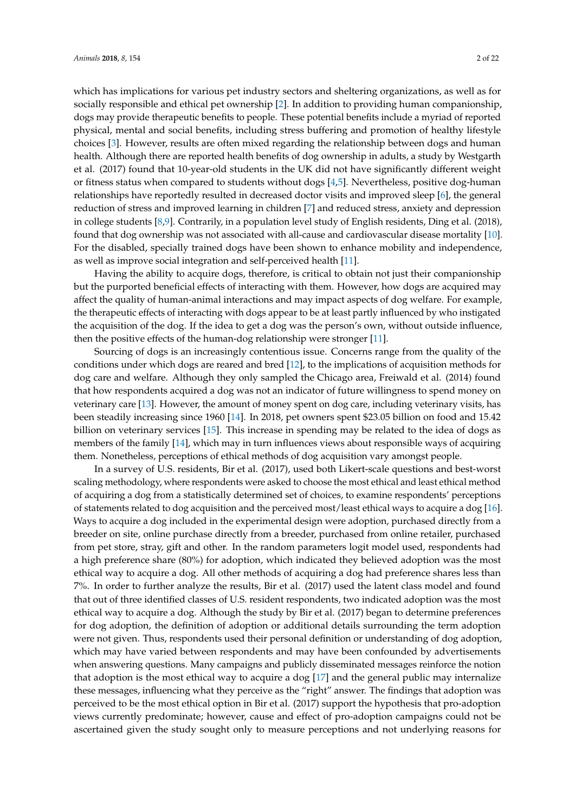which has implications for various pet industry sectors and sheltering organizations, as well as for socially responsible and ethical pet ownership [\[2\]](#page-19-1). In addition to providing human companionship, dogs may provide therapeutic benefits to people. These potential benefits include a myriad of reported physical, mental and social benefits, including stress buffering and promotion of healthy lifestyle choices [\[3\]](#page-19-2). However, results are often mixed regarding the relationship between dogs and human health. Although there are reported health benefits of dog ownership in adults, a study by Westgarth et al. (2017) found that 10-year-old students in the UK did not have significantly different weight or fitness status when compared to students without dogs [\[4](#page-19-3)[,5\]](#page-19-4). Nevertheless, positive dog-human relationships have reportedly resulted in decreased doctor visits and improved sleep [\[6\]](#page-19-5), the general reduction of stress and improved learning in children [\[7\]](#page-19-6) and reduced stress, anxiety and depression in college students [\[8,](#page-19-7)[9\]](#page-19-8). Contrarily, in a population level study of English residents, Ding et al. (2018), found that dog ownership was not associated with all-cause and cardiovascular disease mortality [\[10\]](#page-19-9). For the disabled, specially trained dogs have been shown to enhance mobility and independence, as well as improve social integration and self-perceived health [\[11\]](#page-19-10).

Having the ability to acquire dogs, therefore, is critical to obtain not just their companionship but the purported beneficial effects of interacting with them. However, how dogs are acquired may affect the quality of human-animal interactions and may impact aspects of dog welfare. For example, the therapeutic effects of interacting with dogs appear to be at least partly influenced by who instigated the acquisition of the dog. If the idea to get a dog was the person's own, without outside influence, then the positive effects of the human-dog relationship were stronger [\[11\]](#page-19-10).

Sourcing of dogs is an increasingly contentious issue. Concerns range from the quality of the conditions under which dogs are reared and bred [\[12\]](#page-20-0), to the implications of acquisition methods for dog care and welfare. Although they only sampled the Chicago area, Freiwald et al. (2014) found that how respondents acquired a dog was not an indicator of future willingness to spend money on veterinary care [\[13\]](#page-20-1). However, the amount of money spent on dog care, including veterinary visits, has been steadily increasing since 1960 [\[14\]](#page-20-2). In 2018, pet owners spent \$23.05 billion on food and 15.42 billion on veterinary services [\[15\]](#page-20-3). This increase in spending may be related to the idea of dogs as members of the family [\[14\]](#page-20-2), which may in turn influences views about responsible ways of acquiring them. Nonetheless, perceptions of ethical methods of dog acquisition vary amongst people.

In a survey of U.S. residents, Bir et al. (2017), used both Likert-scale questions and best-worst scaling methodology, where respondents were asked to choose the most ethical and least ethical method of acquiring a dog from a statistically determined set of choices, to examine respondents' perceptions of statements related to dog acquisition and the perceived most/least ethical ways to acquire a dog [\[16\]](#page-20-4). Ways to acquire a dog included in the experimental design were adoption, purchased directly from a breeder on site, online purchase directly from a breeder, purchased from online retailer, purchased from pet store, stray, gift and other. In the random parameters logit model used, respondents had a high preference share (80%) for adoption, which indicated they believed adoption was the most ethical way to acquire a dog. All other methods of acquiring a dog had preference shares less than 7%. In order to further analyze the results, Bir et al. (2017) used the latent class model and found that out of three identified classes of U.S. resident respondents, two indicated adoption was the most ethical way to acquire a dog. Although the study by Bir et al. (2017) began to determine preferences for dog adoption, the definition of adoption or additional details surrounding the term adoption were not given. Thus, respondents used their personal definition or understanding of dog adoption, which may have varied between respondents and may have been confounded by advertisements when answering questions. Many campaigns and publicly disseminated messages reinforce the notion that adoption is the most ethical way to acquire a dog [\[17\]](#page-20-5) and the general public may internalize these messages, influencing what they perceive as the "right" answer. The findings that adoption was perceived to be the most ethical option in Bir et al. (2017) support the hypothesis that pro-adoption views currently predominate; however, cause and effect of pro-adoption campaigns could not be ascertained given the study sought only to measure perceptions and not underlying reasons for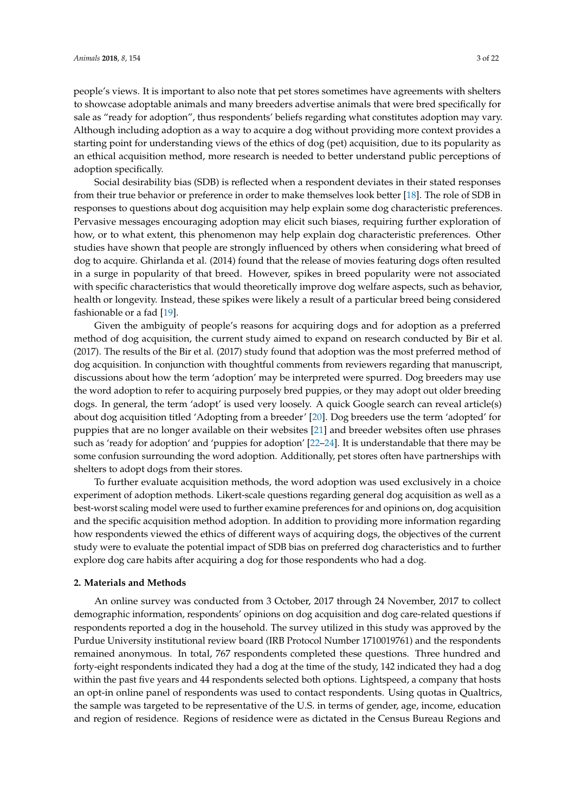people's views. It is important to also note that pet stores sometimes have agreements with shelters to showcase adoptable animals and many breeders advertise animals that were bred specifically for sale as "ready for adoption", thus respondents' beliefs regarding what constitutes adoption may vary. Although including adoption as a way to acquire a dog without providing more context provides a starting point for understanding views of the ethics of dog (pet) acquisition, due to its popularity as an ethical acquisition method, more research is needed to better understand public perceptions of adoption specifically.

Social desirability bias (SDB) is reflected when a respondent deviates in their stated responses from their true behavior or preference in order to make themselves look better [\[18\]](#page-20-6). The role of SDB in responses to questions about dog acquisition may help explain some dog characteristic preferences. Pervasive messages encouraging adoption may elicit such biases, requiring further exploration of how, or to what extent, this phenomenon may help explain dog characteristic preferences. Other studies have shown that people are strongly influenced by others when considering what breed of dog to acquire. Ghirlanda et al. (2014) found that the release of movies featuring dogs often resulted in a surge in popularity of that breed. However, spikes in breed popularity were not associated with specific characteristics that would theoretically improve dog welfare aspects, such as behavior, health or longevity. Instead, these spikes were likely a result of a particular breed being considered fashionable or a fad [\[19\]](#page-20-7).

Given the ambiguity of people's reasons for acquiring dogs and for adoption as a preferred method of dog acquisition, the current study aimed to expand on research conducted by Bir et al. (2017). The results of the Bir et al. (2017) study found that adoption was the most preferred method of dog acquisition. In conjunction with thoughtful comments from reviewers regarding that manuscript, discussions about how the term 'adoption' may be interpreted were spurred. Dog breeders may use the word adoption to refer to acquiring purposely bred puppies, or they may adopt out older breeding dogs. In general, the term 'adopt' is used very loosely. A quick Google search can reveal article(s) about dog acquisition titled 'Adopting from a breeder' [\[20\]](#page-20-8). Dog breeders use the term 'adopted' for puppies that are no longer available on their websites [\[21\]](#page-20-9) and breeder websites often use phrases such as 'ready for adoption' and 'puppies for adoption' [\[22](#page-20-10)[–24\]](#page-20-11). It is understandable that there may be some confusion surrounding the word adoption. Additionally, pet stores often have partnerships with shelters to adopt dogs from their stores.

To further evaluate acquisition methods, the word adoption was used exclusively in a choice experiment of adoption methods. Likert-scale questions regarding general dog acquisition as well as a best-worst scaling model were used to further examine preferences for and opinions on, dog acquisition and the specific acquisition method adoption. In addition to providing more information regarding how respondents viewed the ethics of different ways of acquiring dogs, the objectives of the current study were to evaluate the potential impact of SDB bias on preferred dog characteristics and to further explore dog care habits after acquiring a dog for those respondents who had a dog.

#### **2. Materials and Methods**

An online survey was conducted from 3 October, 2017 through 24 November, 2017 to collect demographic information, respondents' opinions on dog acquisition and dog care-related questions if respondents reported a dog in the household. The survey utilized in this study was approved by the Purdue University institutional review board (IRB Protocol Number 1710019761) and the respondents remained anonymous. In total, 767 respondents completed these questions. Three hundred and forty-eight respondents indicated they had a dog at the time of the study, 142 indicated they had a dog within the past five years and 44 respondents selected both options. Lightspeed, a company that hosts an opt-in online panel of respondents was used to contact respondents. Using quotas in Qualtrics, the sample was targeted to be representative of the U.S. in terms of gender, age, income, education and region of residence. Regions of residence were as dictated in the Census Bureau Regions and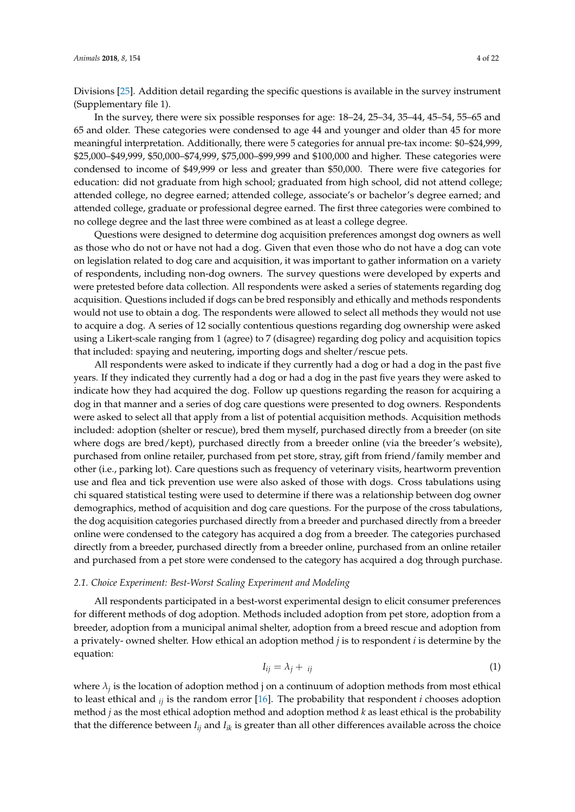Divisions [\[25\]](#page-20-12). Addition detail regarding the specific questions is available in the survey instrument (Supplementary file 1).

In the survey, there were six possible responses for age: 18–24, 25–34, 35–44, 45–54, 55–65 and 65 and older. These categories were condensed to age 44 and younger and older than 45 for more meaningful interpretation. Additionally, there were 5 categories for annual pre-tax income: \$0–\$24,999, \$25,000–\$49,999, \$50,000–\$74,999, \$75,000–\$99,999 and \$100,000 and higher. These categories were condensed to income of \$49,999 or less and greater than \$50,000. There were five categories for education: did not graduate from high school; graduated from high school, did not attend college; attended college, no degree earned; attended college, associate's or bachelor's degree earned; and attended college, graduate or professional degree earned. The first three categories were combined to no college degree and the last three were combined as at least a college degree.

Questions were designed to determine dog acquisition preferences amongst dog owners as well as those who do not or have not had a dog. Given that even those who do not have a dog can vote on legislation related to dog care and acquisition, it was important to gather information on a variety of respondents, including non-dog owners. The survey questions were developed by experts and were pretested before data collection. All respondents were asked a series of statements regarding dog acquisition. Questions included if dogs can be bred responsibly and ethically and methods respondents would not use to obtain a dog. The respondents were allowed to select all methods they would not use to acquire a dog. A series of 12 socially contentious questions regarding dog ownership were asked using a Likert-scale ranging from 1 (agree) to 7 (disagree) regarding dog policy and acquisition topics that included: spaying and neutering, importing dogs and shelter/rescue pets.

All respondents were asked to indicate if they currently had a dog or had a dog in the past five years. If they indicated they currently had a dog or had a dog in the past five years they were asked to indicate how they had acquired the dog. Follow up questions regarding the reason for acquiring a dog in that manner and a series of dog care questions were presented to dog owners. Respondents were asked to select all that apply from a list of potential acquisition methods. Acquisition methods included: adoption (shelter or rescue), bred them myself, purchased directly from a breeder (on site where dogs are bred/kept), purchased directly from a breeder online (via the breeder's website), purchased from online retailer, purchased from pet store, stray, gift from friend/family member and other (i.e., parking lot). Care questions such as frequency of veterinary visits, heartworm prevention use and flea and tick prevention use were also asked of those with dogs. Cross tabulations using chi squared statistical testing were used to determine if there was a relationship between dog owner demographics, method of acquisition and dog care questions. For the purpose of the cross tabulations, the dog acquisition categories purchased directly from a breeder and purchased directly from a breeder online were condensed to the category has acquired a dog from a breeder. The categories purchased directly from a breeder, purchased directly from a breeder online, purchased from an online retailer and purchased from a pet store were condensed to the category has acquired a dog through purchase.

# *2.1. Choice Experiment: Best-Worst Scaling Experiment and Modeling*

All respondents participated in a best-worst experimental design to elicit consumer preferences for different methods of dog adoption. Methods included adoption from pet store, adoption from a breeder, adoption from a municipal animal shelter, adoption from a breed rescue and adoption from a privately- owned shelter. How ethical an adoption method *j* is to respondent *i* is determine by the equation:

$$
I_{ij} = \lambda_j + i_j \tag{1}
$$

where  $\lambda_j$  is the location of adoption method j on a continuum of adoption methods from most ethical to least ethical and *ij* is the random error [\[16\]](#page-20-4). The probability that respondent *i* chooses adoption method *j* as the most ethical adoption method and adoption method *k* as least ethical is the probability that the difference between *Iij* and *Iik* is greater than all other differences available across the choice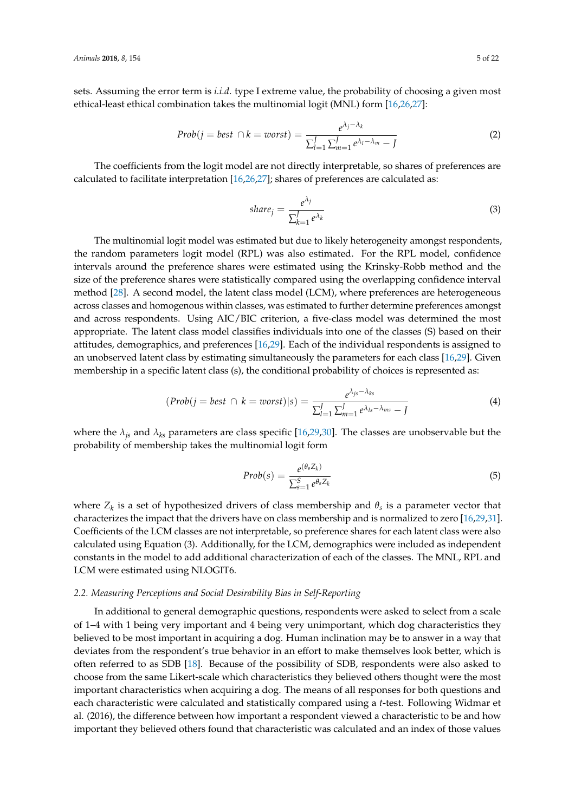sets. Assuming the error term is *i.i.d*. type I extreme value, the probability of choosing a given most ethical-least ethical combination takes the multinomial logit (MNL) form [\[16,](#page-20-4)[26,](#page-20-13)[27\]](#page-20-14):

$$
Prob(j=best \cap k=worst) = \frac{e^{\lambda_j - \lambda_k}}{\sum_{l=1}^{J} \sum_{m=1}^{J} e^{\lambda_l - \lambda_m} - J}
$$
(2)

The coefficients from the logit model are not directly interpretable, so shares of preferences are calculated to facilitate interpretation [\[16,](#page-20-4)[26,](#page-20-13)[27\]](#page-20-14); shares of preferences are calculated as:

$$
share_j = \frac{e^{\lambda_j}}{\sum_{k=1}^J e^{\lambda_k}}
$$
\n(3)

The multinomial logit model was estimated but due to likely heterogeneity amongst respondents, the random parameters logit model (RPL) was also estimated. For the RPL model, confidence intervals around the preference shares were estimated using the Krinsky-Robb method and the size of the preference shares were statistically compared using the overlapping confidence interval method [\[28\]](#page-20-15). A second model, the latent class model (LCM), where preferences are heterogeneous across classes and homogenous within classes, was estimated to further determine preferences amongst and across respondents. Using AIC/BIC criterion, a five-class model was determined the most appropriate. The latent class model classifies individuals into one of the classes (S) based on their attitudes, demographics, and preferences [\[16,](#page-20-4)[29\]](#page-20-16). Each of the individual respondents is assigned to an unobserved latent class by estimating simultaneously the parameters for each class [\[16,](#page-20-4)[29\]](#page-20-16). Given membership in a specific latent class (s), the conditional probability of choices is represented as:

$$
(Prob(j=best \cap k=worst)|s) = \frac{e^{\lambda_{js}-\lambda_{ks}}}{\sum_{l=1}^{J}\sum_{m=1}^{J}e^{\lambda_{ls}-\lambda_{ms}}-J}
$$
(4)

where the  $\lambda_{js}$  and  $\lambda_{ks}$  parameters are class specific [\[16](#page-20-4)[,29](#page-20-16)[,30\]](#page-20-17). The classes are unobservable but the probability of membership takes the multinomial logit form

$$
Prob(s) = \frac{e^{(\theta_s Z_k)}}{\sum_{s=1}^{S} e^{\theta_s Z_k}}
$$
\n<sup>(5)</sup>

where *Z<sup>k</sup>* is a set of hypothesized drivers of class membership and *θ<sup>s</sup>* is a parameter vector that characterizes the impact that the drivers have on class membership and is normalized to zero [\[16](#page-20-4)[,29](#page-20-16)[,31\]](#page-20-18). Coefficients of the LCM classes are not interpretable, so preference shares for each latent class were also calculated using Equation (3). Additionally, for the LCM, demographics were included as independent constants in the model to add additional characterization of each of the classes. The MNL, RPL and LCM were estimated using NLOGIT6.

# *2.2. Measuring Perceptions and Social Desirability Bias in Self-Reporting*

In additional to general demographic questions, respondents were asked to select from a scale of 1–4 with 1 being very important and 4 being very unimportant, which dog characteristics they believed to be most important in acquiring a dog. Human inclination may be to answer in a way that deviates from the respondent's true behavior in an effort to make themselves look better, which is often referred to as SDB [\[18\]](#page-20-6). Because of the possibility of SDB, respondents were also asked to choose from the same Likert-scale which characteristics they believed others thought were the most important characteristics when acquiring a dog. The means of all responses for both questions and each characteristic were calculated and statistically compared using a *t*-test. Following Widmar et al. (2016), the difference between how important a respondent viewed a characteristic to be and how important they believed others found that characteristic was calculated and an index of those values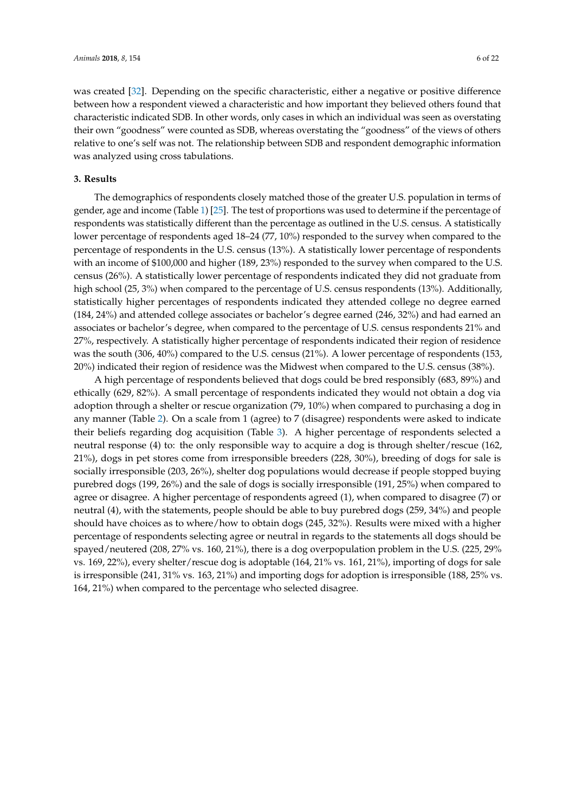was created [\[32\]](#page-20-19). Depending on the specific characteristic, either a negative or positive difference between how a respondent viewed a characteristic and how important they believed others found that characteristic indicated SDB. In other words, only cases in which an individual was seen as overstating their own "goodness" were counted as SDB, whereas overstating the "goodness" of the views of others relative to one's self was not. The relationship between SDB and respondent demographic information was analyzed using cross tabulations.

# **3. Results**

The demographics of respondents closely matched those of the greater U.S. population in terms of gender, age and income (Table [1\)](#page-6-0) [\[25\]](#page-20-12). The test of proportions was used to determine if the percentage of respondents was statistically different than the percentage as outlined in the U.S. census. A statistically lower percentage of respondents aged 18–24 (77, 10%) responded to the survey when compared to the percentage of respondents in the U.S. census (13%). A statistically lower percentage of respondents with an income of \$100,000 and higher (189, 23%) responded to the survey when compared to the U.S. census (26%). A statistically lower percentage of respondents indicated they did not graduate from high school (25, 3%) when compared to the percentage of U.S. census respondents (13%). Additionally, statistically higher percentages of respondents indicated they attended college no degree earned (184, 24%) and attended college associates or bachelor's degree earned (246, 32%) and had earned an associates or bachelor's degree, when compared to the percentage of U.S. census respondents 21% and 27%, respectively. A statistically higher percentage of respondents indicated their region of residence was the south (306, 40%) compared to the U.S. census (21%). A lower percentage of respondents (153, 20%) indicated their region of residence was the Midwest when compared to the U.S. census (38%).

A high percentage of respondents believed that dogs could be bred responsibly (683, 89%) and ethically (629, 82%). A small percentage of respondents indicated they would not obtain a dog via adoption through a shelter or rescue organization (79, 10%) when compared to purchasing a dog in any manner (Table [2\)](#page-7-0). On a scale from 1 (agree) to 7 (disagree) respondents were asked to indicate their beliefs regarding dog acquisition (Table [3\)](#page-7-1). A higher percentage of respondents selected a neutral response (4) to: the only responsible way to acquire a dog is through shelter/rescue (162, 21%), dogs in pet stores come from irresponsible breeders (228, 30%), breeding of dogs for sale is socially irresponsible (203, 26%), shelter dog populations would decrease if people stopped buying purebred dogs (199, 26%) and the sale of dogs is socially irresponsible (191, 25%) when compared to agree or disagree. A higher percentage of respondents agreed (1), when compared to disagree (7) or neutral (4), with the statements, people should be able to buy purebred dogs (259, 34%) and people should have choices as to where/how to obtain dogs (245, 32%). Results were mixed with a higher percentage of respondents selecting agree or neutral in regards to the statements all dogs should be spayed/neutered (208, 27% vs. 160, 21%), there is a dog overpopulation problem in the U.S. (225, 29% vs. 169, 22%), every shelter/rescue dog is adoptable (164, 21% vs. 161, 21%), importing of dogs for sale is irresponsible (241, 31% vs. 163, 21%) and importing dogs for adoption is irresponsible (188, 25% vs. 164, 21%) when compared to the percentage who selected disagree.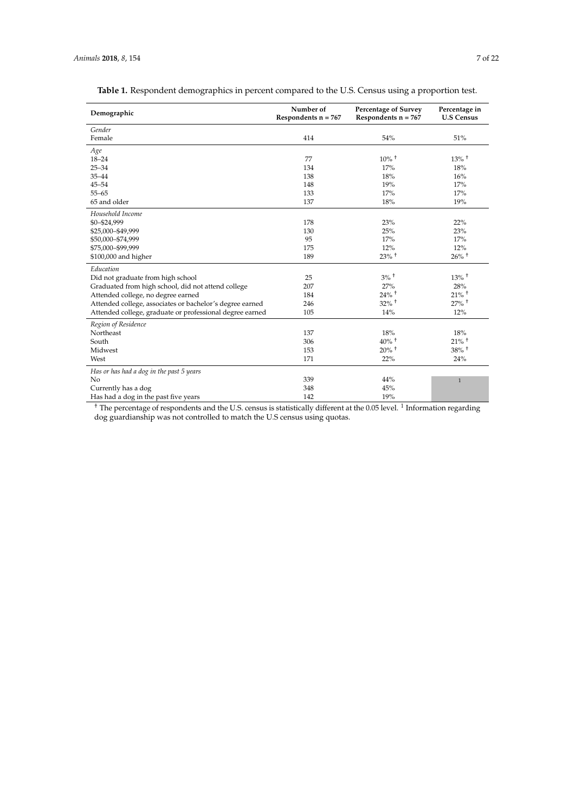| Demographic                                              | Number of<br>Respondents $n = 767$ | <b>Percentage of Survey</b><br>Respondents $n = 767$ | Percentage in<br><b>U.S Census</b> |
|----------------------------------------------------------|------------------------------------|------------------------------------------------------|------------------------------------|
| Gender                                                   |                                    |                                                      |                                    |
| Female                                                   | 414                                | 54%                                                  | 51%                                |
| Age                                                      |                                    |                                                      |                                    |
| $18 - 24$                                                | 77                                 | $10\%$ <sup>+</sup>                                  | $13\%$ <sup>+</sup>                |
| $25 - 34$                                                | 134                                | 17%                                                  | 18%                                |
| $35 - 44$                                                | 138                                | 18%                                                  | 16%                                |
| $45 - 54$                                                | 148                                | 19%                                                  | 17%                                |
| $55 - 65$                                                | 133                                | 17%                                                  | 17%                                |
| 65 and older                                             | 137                                | 18%                                                  | 19%                                |
| Household Income                                         |                                    |                                                      |                                    |
| \$0-\$24,999                                             | 178                                | 23%                                                  | 22%                                |
| \$25,000-\$49,999                                        | 130                                | 25%                                                  | 23%                                |
| \$50,000-\$74,999                                        | 95                                 | 17%                                                  | 17%                                |
| \$75,000-\$99,999                                        | 175                                | 12%                                                  | 12%                                |
| \$100,000 and higher                                     | 189                                | $23\%$ <sup>+</sup>                                  | $26\%$ <sup>+</sup>                |
| Education                                                |                                    |                                                      |                                    |
| Did not graduate from high school                        | 25                                 | $3\%$ <sup>+</sup>                                   | $13\%$ <sup>+</sup>                |
| Graduated from high school, did not attend college       | 207                                | 27%                                                  | 28%                                |
| Attended college, no degree earned                       | 184                                | $24\%$ <sup>+</sup>                                  | $21\%$ <sup>+</sup>                |
| Attended college, associates or bachelor's degree earned | 246                                | $32\%$ <sup>+</sup>                                  | $27\%$ <sup>+</sup>                |
| Attended college, graduate or professional degree earned | 105                                | 14%                                                  | 12%                                |
| Region of Residence                                      |                                    |                                                      |                                    |
| Northeast                                                | 137                                | 18%                                                  | 18%                                |
| South                                                    | 306                                | $40\%$ $^{\dagger}$                                  | $21\%$ <sup>+</sup>                |
| Midwest                                                  | 153                                | $20\%$ <sup>+</sup>                                  | 38% +                              |
| West                                                     | 171                                | 22%                                                  | 24%                                |
| Has or has had a dog in the past 5 years                 |                                    |                                                      |                                    |
| No                                                       | 339                                | 44%                                                  | $\mathbf{1}$                       |
| Currently has a dog                                      | 348                                | 45%                                                  |                                    |
| Has had a dog in the past five years                     | 142                                | 19%                                                  |                                    |

<span id="page-6-0"></span>**Table 1.** Respondent demographics in percent compared to the U.S. Census using a proportion test.

<sup>†</sup> The percentage of respondents and the U.S. census is statistically different at the 0.05 level. <sup>1</sup> Information regarding dog guardianship was not controlled to match the U.S census using quotas.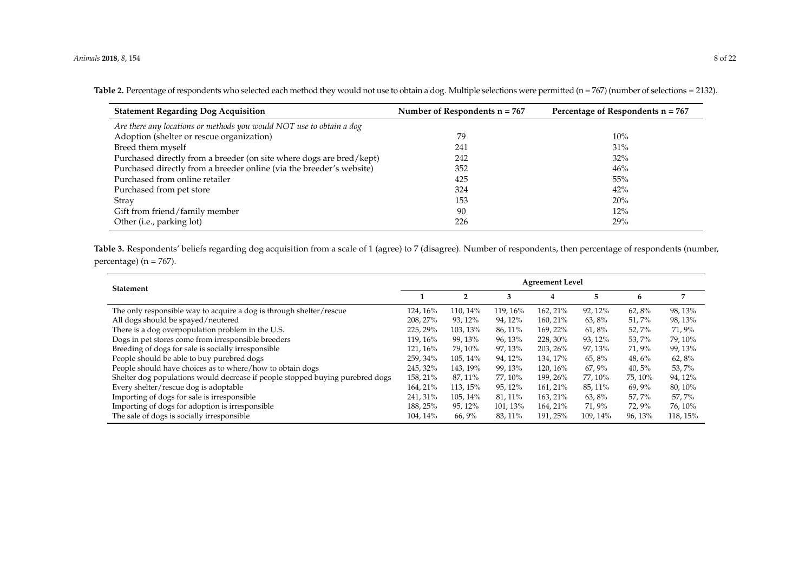#### *Animals* **2018**, *8*, 154 8 of 22

Table 2. Percentage of respondents who selected each method they would not use to obtain a dog. Multiple selections were permitted (n = 767) (number of selections = 2132).

| <b>Statement Regarding Dog Acquisition</b>                           | Number of Respondents $n = 767$ | Percentage of Respondents $n = 767$ |  |  |
|----------------------------------------------------------------------|---------------------------------|-------------------------------------|--|--|
| Are there any locations or methods you would NOT use to obtain a dog |                                 |                                     |  |  |
| Adoption (shelter or rescue organization)                            | 79                              | 10%                                 |  |  |
| Breed them myself                                                    | 241                             | 31%                                 |  |  |
| Purchased directly from a breeder (on site where dogs are bred/kept) | 242                             | 32%                                 |  |  |
| Purchased directly from a breeder online (via the breeder's website) | 352                             | 46%                                 |  |  |
| Purchased from online retailer                                       | 425                             | 55%                                 |  |  |
| Purchased from pet store                                             | 324                             | 42%                                 |  |  |
| Stray                                                                | 153                             | 20%                                 |  |  |
| Gift from friend/family member                                       | 90                              | 12%                                 |  |  |
| Other (i.e., parking lot)                                            | 226                             | 29%                                 |  |  |

Table 3. Respondents' beliefs regarding dog acquisition from a scale of 1 (agree) to 7 (disagree). Number of respondents, then percentage of respondents (number, percentage) ( $n = 767$ ).

<span id="page-7-1"></span><span id="page-7-0"></span>

| <b>Statement</b>                                                              |          | <b>Agreement Level</b> |          |          |          |         |          |  |  |
|-------------------------------------------------------------------------------|----------|------------------------|----------|----------|----------|---------|----------|--|--|
|                                                                               |          | $\overline{2}$         | 3        | 4        | 5        | 6       | 7        |  |  |
| The only responsible way to acquire a dog is through shelter/rescue           | 124, 16% | 110, 14%               | 119, 16% | 162, 21% | 92, 12%  | 62,8%   | 98, 13%  |  |  |
| All dogs should be spayed/neutered                                            | 208, 27% | 93, 12%                | 94, 12%  | 160, 21% | 63,8%    | 51,7%   | 98, 13%  |  |  |
| There is a dog overpopulation problem in the U.S.                             | 225, 29% | 103, 13%               | 86, 11%  | 169, 22% | 61,8%    | 52,7%   | 71,9%    |  |  |
| Dogs in pet stores come from irresponsible breeders                           | 119.16%  | 99, 13%                | 96, 13%  | 228.30%  | 93, 12%  | 53,7%   | 79, 10%  |  |  |
| Breeding of dogs for sale is socially irresponsible                           | 121, 16% | 79, 10%                | 97, 13%  | 203, 26% | 97, 13%  | 71,9%   | 99, 13%  |  |  |
| People should be able to buy purebred dogs                                    | 259, 34% | 105, 14%               | 94.12%   | 134, 17% | 65,8%    | 48,6%   | 62,8%    |  |  |
| People should have choices as to where/how to obtain dogs                     | 245, 32% | 143, 19%               | 99, 13%  | 120, 16% | 67,9%    | 40,5%   | 53,7%    |  |  |
| Shelter dog populations would decrease if people stopped buying purebred dogs | 158.21%  | 87.11%                 | 77.10%   | 199.26%  | 77.10%   | 75, 10% | 94, 12%  |  |  |
| Every shelter/rescue dog is adoptable                                         | 164, 21% | 113, 15%               | 95, 12%  | 161, 21% | 85, 11%  | 69,9%   | 80, 10%  |  |  |
| Importing of dogs for sale is irresponsible                                   | 241, 31% | 105, 14%               | 81, 11%  | 163, 21% | 63,8%    | 57,7%   | 57,7%    |  |  |
| Importing of dogs for adoption is irresponsible                               | 188, 25% | 95, 12%                | 101, 13% | 164, 21% | 71.9%    | 72, 9%  | 76, 10%  |  |  |
| The sale of dogs is socially irresponsible                                    | 104, 14% | 66, 9%                 | 83, 11%  | 191.25%  | 109, 14% | 96, 13% | 118, 15% |  |  |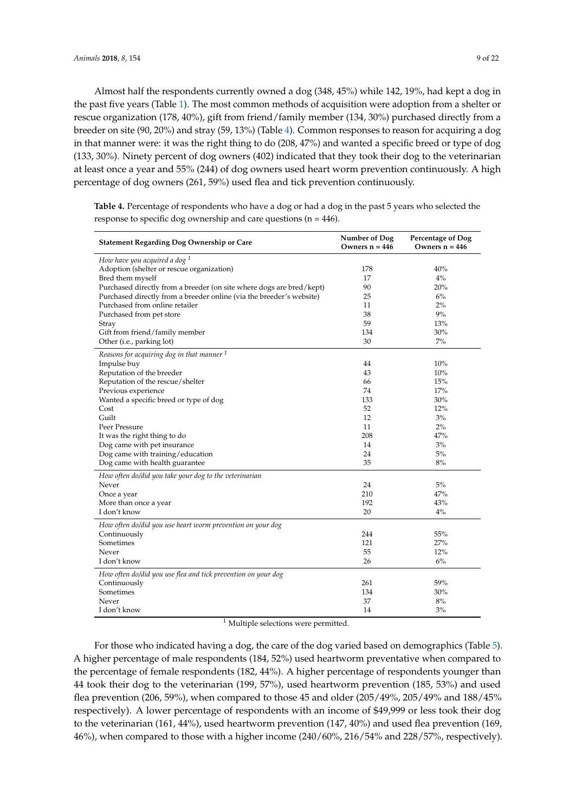Almost half the respondents currently owned a dog (348, 45%) while 142, 19%, had kept a dog in the past five years (Table [1\)](#page-6-0). The most common methods of acquisition were adoption from a shelter or rescue organization (178, 40%), gift from friend/family member (134, 30%) purchased directly from a breeder on site (90, 20%) and stray (59, 13%) (Table [4\)](#page-8-0). Common responses to reason for acquiring a dog in that manner were: it was the right thing to do (208, 47%) and wanted a specific breed or type of dog (133, 30%). Ninety percent of dog owners (402) indicated that they took their dog to the veterinarian at least once a year and 55% (244) of dog owners used heart worm prevention continuously. A high percentage of dog owners (261, 59%) used flea and tick prevention continuously.

<span id="page-8-0"></span>Table 4. Percentage of respondents who have a dog or had a dog in the past 5 years who selected the response to specific dog ownership and care questions (n = 446).

| <b>Statement Regarding Dog Ownership or Care</b>                     | Number of Dog<br>Owners $n = 446$ | <b>Percentage of Dog</b><br>Owners $n = 446$ |
|----------------------------------------------------------------------|-----------------------------------|----------------------------------------------|
| How have you acquired a dog $1$                                      |                                   |                                              |
| Adoption (shelter or rescue organization)                            | 178                               | 40%                                          |
| Bred them myself                                                     | 17                                | 4%                                           |
| Purchased directly from a breeder (on site where dogs are bred/kept) | 90                                | 20%                                          |
| Purchased directly from a breeder online (via the breeder's website) | 25                                | 6%                                           |
| Purchased from online retailer                                       | 11                                | 2%                                           |
| Purchased from pet store                                             | 38                                | 9%                                           |
| Stray                                                                | 59                                | 13%                                          |
| Gift from friend/family member                                       | 134                               | 30%                                          |
| Other (i.e., parking lot)                                            | 30                                | $7\%$                                        |
| Reasons for acquiring dog in that manner <sup>1</sup>                |                                   |                                              |
| Impulse buy                                                          | 44                                | 10%                                          |
| Reputation of the breeder                                            | 43                                | 10%                                          |
| Reputation of the rescue/shelter                                     | 66                                | 15%                                          |
| Previous experience                                                  | 74                                | 17%                                          |
| Wanted a specific breed or type of dog                               | 133                               | 30%                                          |
| Cost                                                                 | 52                                | 12%                                          |
| Guilt                                                                | 12                                | 3%                                           |
| Peer Pressure                                                        | 11                                | 2%                                           |
| It was the right thing to do                                         | 208                               | 47%                                          |
| Dog came with pet insurance                                          | 14                                | 3%                                           |
| Dog came with training/education                                     | 24                                | 5%                                           |
| Dog came with health guarantee                                       | 35                                | 8%                                           |
| How often do/did you take your dog to the veterinarian               |                                   |                                              |
| Never                                                                | 24                                | 5%                                           |
| Once a year                                                          | 210                               | 47%                                          |
| More than once a year                                                | 192                               | 43%                                          |
| I don't know                                                         | 20                                | 4%                                           |
| How often do/did you use heart worm prevention on your dog           |                                   |                                              |
| Continuously                                                         | 244                               | 55%                                          |
| Sometimes                                                            | 121                               | 27%                                          |
| Never                                                                | 55                                | 12%                                          |
| I don't know                                                         | 26                                | 6%                                           |
| How often do/did you use flea and tick prevention on your dog        |                                   |                                              |
| Continuously                                                         | 261                               | 59%                                          |
| Sometimes                                                            | 134                               | 30%                                          |
| Never                                                                | 37                                | 8%                                           |
| I don't know                                                         | 14                                | 3%                                           |

<sup>1</sup> Multiple selections were permitted.

For those who indicated having a dog, the care of the dog varied based on demographics (Table [5\)](#page-9-0). A higher percentage of male respondents (184, 52%) used heartworm preventative when compared to the percentage of female respondents (182, 44%). A higher percentage of respondents younger than 44 took their dog to the veterinarian (199, 57%), used heartworm prevention (185, 53%) and used flea prevention (206, 59%), when compared to those 45 and older (205/49%, 205/49% and 188/45% respectively). A lower percentage of respondents with an income of \$49,999 or less took their dog to the veterinarian (161, 44%), used heartworm prevention (147, 40%) and used flea prevention (169, 46%), when compared to those with a higher income (240/60%, 216/54% and 228/57%, respectively).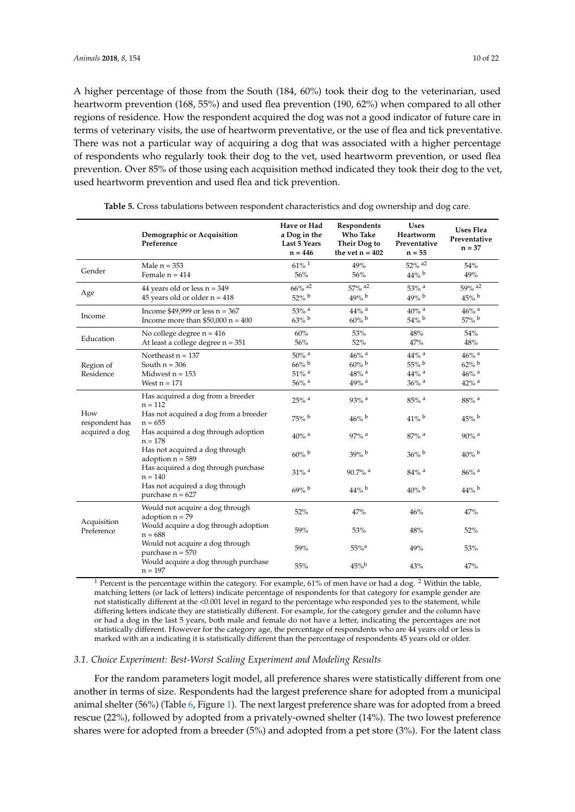A higher percentage of those from the South (184, 60%) took their dog to the veterinarian, used heartworm prevention (168, 55%) and used flea prevention (190, 62%) when compared to all other regions of residence. How the respondent acquired the dog was not a good indicator of future care in terms of veterinary visits, the use of heartworm preventative, or the use of flea and tick preventative. There was not a particular way of acquiring a dog that was associated with a higher percentage of respondents who regularly took their dog to the vet, used heartworm prevention, or used flea prevention. Over 85% of those using each acquisition method indicated they took their dog to the vet, used heartworm prevention and used flea and tick prevention.

<span id="page-9-0"></span>

|                        | Demographic or Acquisition<br>Preference                                                             | Have or Had<br>a Dog in the<br><b>Last 5 Years</b><br>$n = 446$                          | Respondents<br><b>Who Take</b><br>Their Dog to<br>the vet $n = 402$         | <b>Uses</b><br>Heartworm<br>Preventative<br>$n = 55$                        | <b>Uses Flea</b><br>Preventative<br>$n = 37$                                  |
|------------------------|------------------------------------------------------------------------------------------------------|------------------------------------------------------------------------------------------|-----------------------------------------------------------------------------|-----------------------------------------------------------------------------|-------------------------------------------------------------------------------|
| Gender                 | Male $n = 353$<br>Female $n = 414$                                                                   | $61\%$ <sup>1</sup><br>56%                                                               | 49%<br>56%                                                                  | 52% a2<br>$44\%$ <sup>b</sup>                                               | 54%<br>49%                                                                    |
| Age                    | 44 years old or less $n = 349$<br>45 years old or older $n = 418$                                    | 66% a2<br>$52\%$ <sup>b</sup>                                                            | 57% a2<br>$49%$ <sup>b</sup>                                                | $53\%$ <sup>a</sup><br>$49%$ <sup>b</sup>                                   | 59% a2<br>$45\%$ b                                                            |
| Income                 | Income $$49,999$ or less $n = 367$<br>Income more than $$50,000$ n = 400                             | $53\%$ <sup>a</sup><br>$63\%$ b                                                          | $44\%$ <sup>a</sup><br>$60\%$ b                                             | $40\%$ <sup>a</sup><br>$54\%$ <sup>b</sup>                                  | $46\%$ <sup>a</sup><br>$57\%$ <sup>b</sup>                                    |
| Education              | No college degree $n = 416$<br>At least a college degree $n = 351$                                   | 60%<br>56%                                                                               | 53%<br>52%                                                                  | 48%<br>47%                                                                  | 54%<br>48%                                                                    |
| Region of<br>Residence | Northeast $n = 137$<br>South $n = 306$<br>Midwest $n = 153$<br>West $n = 171$                        | $50\%$ <sup>a</sup><br>$66\%$ <sup>b</sup><br>$51\%$ <sup>a</sup><br>$56\%$ <sup>a</sup> | $46\%$ <sup>a</sup><br>$60\%$ b<br>$48%$ <sup>a</sup><br>$49%$ <sup>a</sup> | $44\%$ $^{\rm a}$<br>$55\%$ b<br>$44\%$ <sup>a</sup><br>$36\%$ <sup>a</sup> | $46\%$ <sup>a</sup><br>$62\%$ b<br>$46\%$ <sup>a</sup><br>$42\%$ <sup>a</sup> |
| How<br>respondent has  | Has acquired a dog from a breeder<br>$n = 112$<br>Has not acquired a dog from a breeder<br>$n = 655$ | $25%$ <sup>a</sup><br>$75%$ <sup>b</sup>                                                 | $93\%$ <sup>a</sup><br>$46\%$ b                                             | $85\%$ <sup>a</sup><br>$41\%$ b                                             | $88\%$ <sup>a</sup><br>$45\%$ b                                               |
| acquired a dog         | Has acquired a dog through adoption<br>$n = 178$                                                     | $40\%$ <sup>a</sup>                                                                      | $97\%$ <sup>a</sup>                                                         | $87\%$ <sup>a</sup>                                                         | $90\%$ <sup>a</sup>                                                           |
|                        | Has not acquired a dog through<br>adoption $n = 589$                                                 | $60\%$ b                                                                                 | $39\%$ b                                                                    | $36\%$ b                                                                    | $40\%$ b                                                                      |
|                        | Has acquired a dog through purchase<br>$n = 140$                                                     | $31\%$ <sup>a</sup>                                                                      | $90.7\%$ <sup>a</sup>                                                       | $84\%$ <sup>a</sup>                                                         | $86\%$ <sup>a</sup>                                                           |
|                        | Has not acquired a dog through<br>purchase $n = 627$                                                 | $69%$ b                                                                                  | $44\%$ b                                                                    | $40\%$ b                                                                    | $44\%$ <sup>b</sup>                                                           |
| Acquisition            | Would not acquire a dog through<br>adoption $n = 79$                                                 | 52%                                                                                      | 47%                                                                         | 46%                                                                         | 47%                                                                           |
| Preference             | Would acquire a dog through adoption<br>$n = 688$                                                    | 59%                                                                                      | 53%                                                                         | 48%                                                                         | 52%                                                                           |
|                        | Would not acquire a dog through<br>purchase $n = 570$                                                | 59%                                                                                      | $55\%$ <sup>a</sup>                                                         | 49%                                                                         | 53%                                                                           |
|                        | Would acquire a dog through purchase<br>$n = 197$                                                    | 55%                                                                                      | $45\%$ <sup>b</sup>                                                         | 43%                                                                         | 47%                                                                           |

**Table 5.** Cross tabulations between respondent characteristics and dog ownership and dog care.

<sup>1</sup> Percent is the percentage within the category. For example, 61% of men have or had a dog. <sup>2</sup> Within the table, matching letters (or lack of letters) indicate percentage of respondents for that category for example gender are not statistically different at the <0.001 level in regard to the percentage who responded yes to the statement, while differing letters indicate they are statistically different. For example, for the category gender and the column have or had a dog in the last 5 years, both male and female do not have a letter, indicating the percentages are not statistically different. However for the category age, the percentage of respondents who are 44 years old or less is marked with an a indicating it is statistically different than the percentage of respondents 45 years old or older.

#### *3.1. Choice Experiment: Best-Worst Scaling Experiment and Modeling Results*

For the random parameters logit model, all preference shares were statistically different from one another in terms of size. Respondents had the largest preference share for adopted from a municipal animal shelter (56%) (Table [6,](#page-11-0) Figure [1\)](#page-10-0). The next largest preference share was for adopted from a breed rescue (22%), followed by adopted from a privately-owned shelter (14%). The two lowest preference shares were for adopted from a breeder (5%) and adopted from a pet store (3%). For the latent class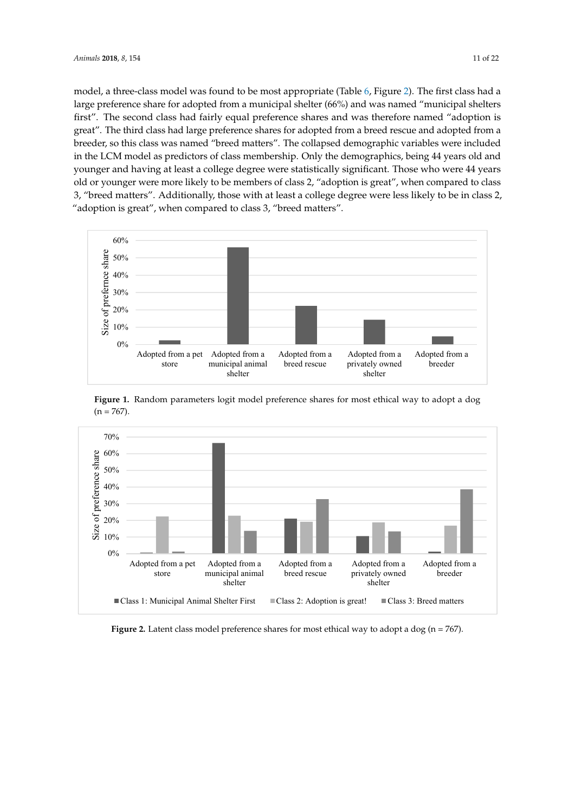model, a three-class model was found to be most appropriate (Table  $6$ , Figure 2). The first class had a large preference share for adopted from a municipal shelter (66%) and was named "municipal shelters first". The second class had fairly equal preference shares and was therefore named "adoption is great". The third class had large preference shares for adopted from a breed rescue and adopted from a breeder, so this class was named "breed matters". The collapsed demographic variables were included in the LCM model as predictors of class membership. Only the demographics, being 44 years old and younger and having at least a college degree were statistically significant. Those who were 44 years old or younger were more likely to be members of class 2, "adoption is great", when compared to class 3, "breed matters". Additionally, those with at least a college degree were less likely to be in class 2, "adoption is great", when compared to class 3, "breed matters". model, a three-class model was found to be most appropriate (Table 6, Figure 2). The first class had a large preference share for adopted from a municipal shelter (66%) and was named "municipal shelters first". The second younger and having at least a college degree were statistically significant. Those who were 44 years old or younger were more likely to be members of class 2, "adoption is great", when compared to class 3, "breed matters".

<span id="page-10-0"></span>

Figure 1. Random parameters logit model preference shares for most ethical way to adopt a dog  $(n = 767)$ .  ${\rm (n=767)}.$ 

<span id="page-10-1"></span>

**Figure 2.** Latent class model preference shares for most ethical way to adopt a dog (n = 767). **Figure 2.** Latent class model preference shares for most ethical way to adopt a dog (n = 767).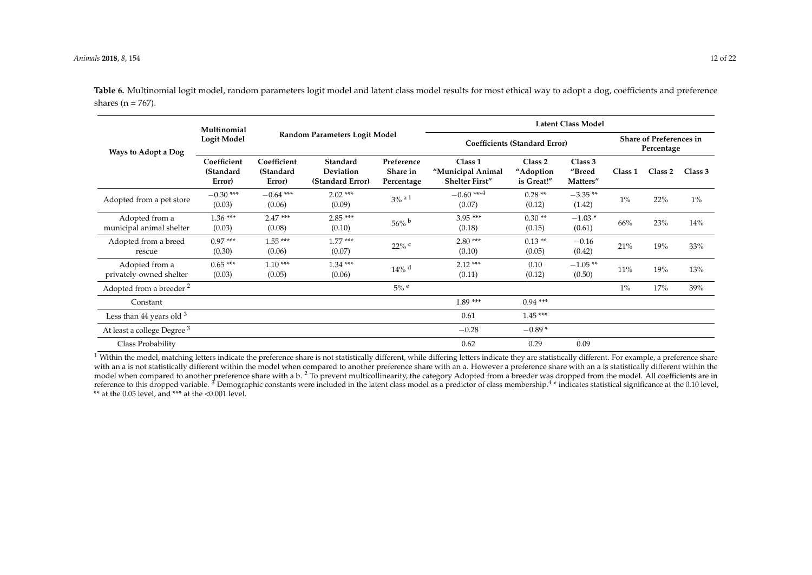|                                            | Multinomial                        |                                      |                                                  |                                      | <b>Latent Class Model</b>                      |                                              |                               |         |         |         |  |
|--------------------------------------------|------------------------------------|--------------------------------------|--------------------------------------------------|--------------------------------------|------------------------------------------------|----------------------------------------------|-------------------------------|---------|---------|---------|--|
| Ways to Adopt a Dog                        | Logit Model                        | <b>Random Parameters Logit Model</b> |                                                  |                                      | Coefficients (Standard Error)                  | <b>Share of Preferences in</b><br>Percentage |                               |         |         |         |  |
|                                            | Coefficient<br>(Standard<br>Error) | Coefficient<br>(Standard<br>Error)   | <b>Standard</b><br>Deviation<br>(Standard Error) | Preference<br>Share in<br>Percentage | Class 1<br>"Municipal Animal<br>Shelter First" | Class 2<br>"Adoption<br>is Great!"           | Class 3<br>"Breed<br>Matters" | Class 1 | Class 2 | Class 3 |  |
| Adopted from a pet store                   | $-0.30$ ***<br>(0.03)              | $-0.64$ ***<br>(0.06)                | $2.02***$<br>(0.09)                              | $3%$ a 1                             | $-0.60$ ***4<br>(0.07)                         | $0.28**$<br>(0.12)                           | $-3.35**$<br>(1.42)           | $1\%$   | 22%     | $1\%$   |  |
| Adopted from a<br>municipal animal shelter | $1.36***$<br>(0.03)                | $2.47***$<br>(0.08)                  | $2.85***$<br>(0.10)                              | $56\%$ <sup>b</sup>                  | $3.95***$<br>(0.18)                            | $0.30**$<br>(0.15)                           | $-1.03*$<br>(0.61)            | 66%     | 23%     | 14%     |  |
| Adopted from a breed<br>rescue             | $0.97***$<br>(0.30)                | $1.55***$<br>(0.06)                  | $1.77***$<br>(0.07)                              | $22\%$                               | $2.80***$<br>(0.10)                            | $0.13**$<br>(0.05)                           | $-0.16$<br>(0.42)             | 21%     | 19%     | 33%     |  |
| Adopted from a<br>privately-owned shelter  | $0.65***$<br>(0.03)                | $1.10***$<br>(0.05)                  | $1.34***$<br>(0.06)                              | $14\%$ <sup>d</sup>                  | $2.12***$<br>(0.11)                            | 0.10<br>(0.12)                               | $-1.05**$<br>(0.50)           | 11%     | 19%     | 13%     |  |
| Adopted from a breeder <sup>2</sup>        |                                    |                                      |                                                  | $5\%$ e                              |                                                |                                              |                               | $1\%$   | 17%     | 39%     |  |
| Constant                                   |                                    |                                      |                                                  |                                      | $1.89***$                                      | $0.94***$                                    |                               |         |         |         |  |
| Less than 44 years old $3$                 |                                    |                                      |                                                  |                                      | 0.61                                           | $1.45***$                                    |                               |         |         |         |  |
| At least a college Degree <sup>3</sup>     |                                    |                                      |                                                  |                                      | $-0.28$                                        | $-0.89*$                                     |                               |         |         |         |  |
| Class Probability                          |                                    |                                      |                                                  |                                      | 0.62                                           | 0.29                                         | 0.09                          |         |         |         |  |

**Table 6.** Multinomial logit model, random parameters logit model and latent class model results for most ethical way to adopt a dog, coefficients and preference shares ( $n = 767$ ).

<span id="page-11-0"></span><sup>1</sup> Within the model, matching letters indicate the preference share is not statistically different, while differing letters indicate they are statistically different. For example, a preference share with an a is not statistically different within the model when compared to another preference share with an a. However a preference share with an a is statistically different within the model when compared to another preference share with a b. <sup>2</sup> To prevent multicollinearity, the category Adopted from a breeder was dropped from the model. All coefficients are in reference to this dropped variable. <sup>3</sup> Demographic constants were included in the latent class model as a predictor of class membership.<sup>4</sup> \* indicates statistical significance at the 0.10 level, \*\* at the 0.05 level, and \*\*\* at the <0.001 level.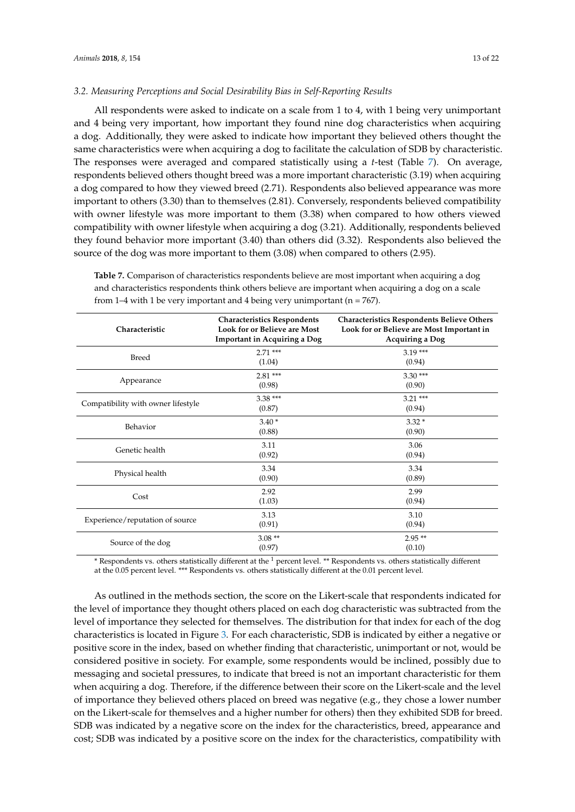# *3.2. Measuring Perceptions and Social Desirability Bias in Self-Reporting Results*

All respondents were asked to indicate on a scale from 1 to 4, with 1 being very unimportant and 4 being very important, how important they found nine dog characteristics when acquiring a dog. Additionally, they were asked to indicate how important they believed others thought the same characteristics were when acquiring a dog to facilitate the calculation of SDB by characteristic. The responses were averaged and compared statistically using a *t*-test (Table [7\)](#page-12-0). On average, respondents believed others thought breed was a more important characteristic (3.19) when acquiring a dog compared to how they viewed breed (2.71). Respondents also believed appearance was more important to others (3.30) than to themselves (2.81). Conversely, respondents believed compatibility with owner lifestyle was more important to them (3.38) when compared to how others viewed compatibility with owner lifestyle when acquiring a dog (3.21). Additionally, respondents believed they found behavior more important (3.40) than others did (3.32). Respondents also believed the source of the dog was more important to them (3.08) when compared to others (2.95).

| Characteristic                     | <b>Characteristics Respondents</b><br><b>Look for or Believe are Most</b><br><b>Important in Acquiring a Dog</b> | <b>Characteristics Respondents Believe Others</b><br>Look for or Believe are Most Important in<br><b>Acquiring a Dog</b> |  |  |
|------------------------------------|------------------------------------------------------------------------------------------------------------------|--------------------------------------------------------------------------------------------------------------------------|--|--|
| Breed                              | $2.71***$<br>(1.04)                                                                                              | $3.19***$<br>(0.94)                                                                                                      |  |  |
| Appearance                         | $2.81***$<br>(0.98)                                                                                              | $3.30***$<br>(0.90)                                                                                                      |  |  |
| Compatibility with owner lifestyle | $3.38***$<br>(0.87)                                                                                              | $3.21***$<br>(0.94)                                                                                                      |  |  |
| Behavior                           | $3.40*$<br>(0.88)                                                                                                | $3.32*$<br>(0.90)                                                                                                        |  |  |
| Genetic health                     | 3.11<br>(0.92)                                                                                                   | 3.06<br>(0.94)                                                                                                           |  |  |
| Physical health                    | 3.34<br>(0.90)                                                                                                   | 3.34<br>(0.89)                                                                                                           |  |  |
| Cost                               | 2.92<br>(1.03)                                                                                                   | 2.99<br>(0.94)                                                                                                           |  |  |
| Experience/reputation of source    | 3.13<br>(0.91)                                                                                                   | 3.10<br>(0.94)                                                                                                           |  |  |
| Source of the dog                  | $3.08**$<br>(0.97)                                                                                               | $2.95**$<br>(0.10)                                                                                                       |  |  |

<span id="page-12-0"></span>**Table 7.** Comparison of characteristics respondents believe are most important when acquiring a dog and characteristics respondents think others believe are important when acquiring a dog on a scale from 1–4 with 1 be very important and 4 being very unimportant ( $n = 767$ ).

\* Respondents vs. others statistically different at the <sup>1</sup> percent level. \*\* Respondents vs. others statistically different at the 0.05 percent level. \*\*\* Respondents vs. others statistically different at the 0.01 percent level.

As outlined in the methods section, the score on the Likert-scale that respondents indicated for the level of importance they thought others placed on each dog characteristic was subtracted from the level of importance they selected for themselves. The distribution for that index for each of the dog characteristics is located in Figure [3.](#page-14-0) For each characteristic, SDB is indicated by either a negative or positive score in the index, based on whether finding that characteristic, unimportant or not, would be considered positive in society. For example, some respondents would be inclined, possibly due to messaging and societal pressures, to indicate that breed is not an important characteristic for them when acquiring a dog. Therefore, if the difference between their score on the Likert-scale and the level of importance they believed others placed on breed was negative (e.g., they chose a lower number on the Likert-scale for themselves and a higher number for others) then they exhibited SDB for breed. SDB was indicated by a negative score on the index for the characteristics, breed, appearance and cost; SDB was indicated by a positive score on the index for the characteristics, compatibility with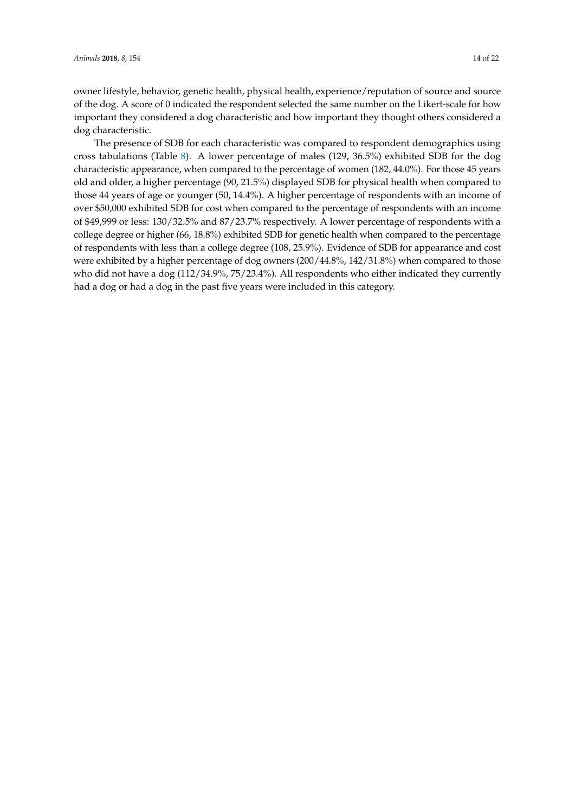owner lifestyle, behavior, genetic health, physical health, experience/reputation of source and source of the dog. A score of 0 indicated the respondent selected the same number on the Likert-scale for how important they considered a dog characteristic and how important they thought others considered a dog characteristic.

The presence of SDB for each characteristic was compared to respondent demographics using cross tabulations (Table [8\)](#page-15-0). A lower percentage of males (129, 36.5%) exhibited SDB for the dog characteristic appearance, when compared to the percentage of women (182, 44.0%). For those 45 years old and older, a higher percentage (90, 21.5%) displayed SDB for physical health when compared to those 44 years of age or younger (50, 14.4%). A higher percentage of respondents with an income of over \$50,000 exhibited SDB for cost when compared to the percentage of respondents with an income of \$49,999 or less: 130/32.5% and 87/23.7% respectively. A lower percentage of respondents with a college degree or higher (66, 18.8%) exhibited SDB for genetic health when compared to the percentage of respondents with less than a college degree (108, 25.9%). Evidence of SDB for appearance and cost were exhibited by a higher percentage of dog owners (200/44.8%, 142/31.8%) when compared to those who did not have a dog (112/34.9%, 75/23.4%). All respondents who either indicated they currently had a dog or had a dog in the past five years were included in this category.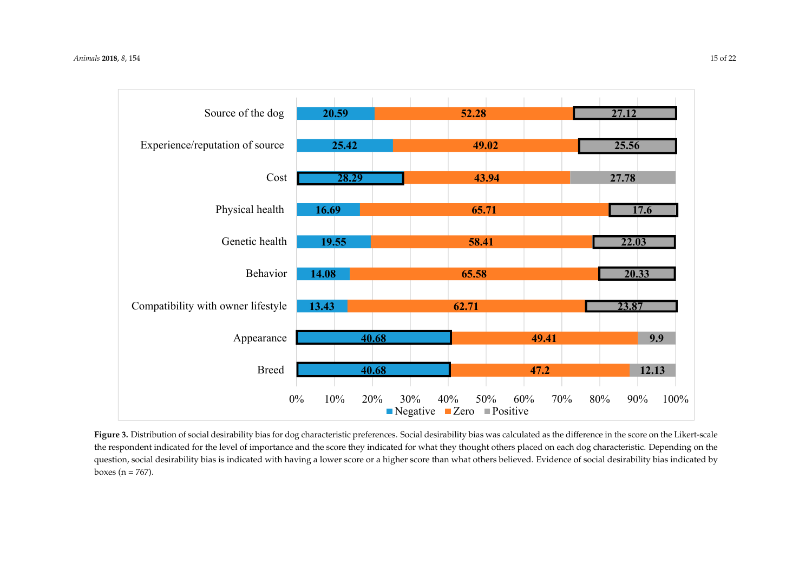

<span id="page-14-0"></span>Figure 3. Distribution of social desirability bias for dog characteristic preferences. Social desirability bias was calculated as the difference in the score on the Likert-scale the respondent indicated for the level of importance and the score they indicated for what they thought others placed on each dog characteristic. Depending on the question, social desirability bias is indicated with having a lower score or a higher score than what others believed. Evidence of social desirability bias indicated by  $(767)$ . boxes ( $n = 767$ ).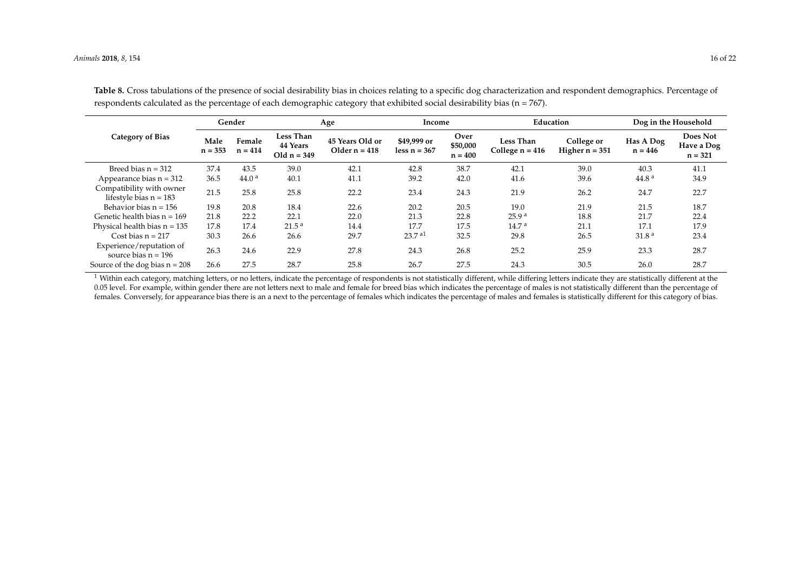|                                                      | Gender            |                     | Age                                    |                                    | Income                        |                               | Education                      |                                | Dog in the Household   |                                     |
|------------------------------------------------------|-------------------|---------------------|----------------------------------------|------------------------------------|-------------------------------|-------------------------------|--------------------------------|--------------------------------|------------------------|-------------------------------------|
| Category of Bias                                     | Male<br>$n = 353$ | Female<br>$n = 414$ | Less Than<br>44 Years<br>Old $n = 349$ | 45 Years Old or<br>Older $n = 418$ | \$49,999 or<br>less $n = 367$ | Over<br>\$50,000<br>$n = 400$ | Less Than<br>College $n = 416$ | College or<br>Higher $n = 351$ | Has A Dog<br>$n = 446$ | Does Not<br>Have a Dog<br>$n = 321$ |
| Breed bias $n = 312$                                 | 37.4              | 43.5                | 39.0                                   | 42.1                               | 42.8                          | 38.7                          | 42.1                           | 39.0                           | 40.3                   | 41.1                                |
| Appearance bias $n = 312$                            | 36.5              | 44.0 <sup>a</sup>   | 40.1                                   | 41.1                               | 39.2                          | 42.0                          | 41.6                           | 39.6                           | 44.8 <sup>a</sup>      | 34.9                                |
| Compatibility with owner<br>lifestyle bias $n = 183$ | 21.5              | 25.8                | 25.8                                   | 22.2                               | 23.4                          | 24.3                          | 21.9                           | 26.2                           | 24.7                   | 22.7                                |
| Behavior bias $n = 156$                              | 19.8              | 20.8                | 18.4                                   | 22.6                               | 20.2                          | 20.5                          | 19.0                           | 21.9                           | 21.5                   | 18.7                                |
| Genetic health bias $n = 169$                        | 21.8              | 22.2                | 22.1                                   | 22.0                               | 21.3                          | 22.8                          | 25.9 <sup>a</sup>              | 18.8                           | 21.7                   | 22.4                                |
| Physical health bias $n = 135$                       | 17.8              | 17.4                | 21.5 <sup>a</sup>                      | 14.4                               | 17.7                          | 17.5                          | 14.7 <sup>a</sup>              | 21.1                           | 17.1                   | 17.9                                |
| Cost bias $n = 217$                                  | 30.3              | 26.6                | 26.6                                   | 29.7                               | 23.7 <sup>al</sup>            | 32.5                          | 29.8                           | 26.5                           | 31.8 <sup>a</sup>      | 23.4                                |
| Experience/reputation of<br>source bias $n = 196$    | 26.3              | 24.6                | 22.9                                   | 27.8                               | 24.3                          | 26.8                          | 25.2                           | 25.9                           | 23.3                   | 28.7                                |
| Source of the dog bias $n = 208$                     | 26.6              | 27.5                | 28.7                                   | 25.8                               | 26.7                          | 27.5                          | 24.3                           | 30.5                           | 26.0                   | 28.7                                |

**Table 8.** Cross tabulations of the presence of social desirability bias in choices relating to a specific dog characterization and respondent demographics. Percentage of respondents calculated as the percentage of each demographic category that exhibited social desirability bias ( $n = 767$ ).

<span id="page-15-0"></span> $1$  Within each category, matching letters, or no letters, indicate the percentage of respondents is not statistically different, while differing letters indicate they are statistically different at the 0.05 level. For example, within gender there are not letters next to male and female for breed bias which indicates the percentage of males is not statistically different than the percentage of females. Conversely, for appearance bias there is an a next to the percentage of females which indicates the percentage of males and females is statistically different for this category of bias.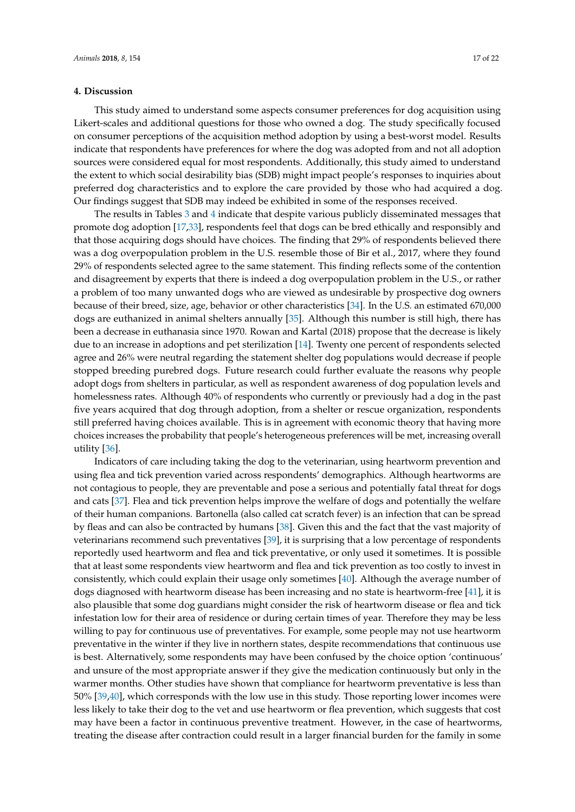# **4. Discussion**

This study aimed to understand some aspects consumer preferences for dog acquisition using Likert-scales and additional questions for those who owned a dog. The study specifically focused on consumer perceptions of the acquisition method adoption by using a best-worst model. Results indicate that respondents have preferences for where the dog was adopted from and not all adoption sources were considered equal for most respondents. Additionally, this study aimed to understand the extent to which social desirability bias (SDB) might impact people's responses to inquiries about preferred dog characteristics and to explore the care provided by those who had acquired a dog. Our findings suggest that SDB may indeed be exhibited in some of the responses received.

The results in Tables [3](#page-7-1) and [4](#page-8-0) indicate that despite various publicly disseminated messages that promote dog adoption [\[17](#page-20-5)[,33\]](#page-20-20), respondents feel that dogs can be bred ethically and responsibly and that those acquiring dogs should have choices. The finding that 29% of respondents believed there was a dog overpopulation problem in the U.S. resemble those of Bir et al., 2017, where they found 29% of respondents selected agree to the same statement. This finding reflects some of the contention and disagreement by experts that there is indeed a dog overpopulation problem in the U.S., or rather a problem of too many unwanted dogs who are viewed as undesirable by prospective dog owners because of their breed, size, age, behavior or other characteristics [\[34\]](#page-20-21). In the U.S. an estimated 670,000 dogs are euthanized in animal shelters annually [\[35\]](#page-20-22). Although this number is still high, there has been a decrease in euthanasia since 1970. Rowan and Kartal (2018) propose that the decrease is likely due to an increase in adoptions and pet sterilization [\[14\]](#page-20-2). Twenty one percent of respondents selected agree and 26% were neutral regarding the statement shelter dog populations would decrease if people stopped breeding purebred dogs. Future research could further evaluate the reasons why people adopt dogs from shelters in particular, as well as respondent awareness of dog population levels and homelessness rates. Although 40% of respondents who currently or previously had a dog in the past five years acquired that dog through adoption, from a shelter or rescue organization, respondents still preferred having choices available. This is in agreement with economic theory that having more choices increases the probability that people's heterogeneous preferences will be met, increasing overall utility [\[36\]](#page-20-23).

Indicators of care including taking the dog to the veterinarian, using heartworm prevention and using flea and tick prevention varied across respondents' demographics. Although heartworms are not contagious to people, they are preventable and pose a serious and potentially fatal threat for dogs and cats [\[37\]](#page-20-24). Flea and tick prevention helps improve the welfare of dogs and potentially the welfare of their human companions. Bartonella (also called cat scratch fever) is an infection that can be spread by fleas and can also be contracted by humans [\[38\]](#page-21-0). Given this and the fact that the vast majority of veterinarians recommend such preventatives [\[39\]](#page-21-1), it is surprising that a low percentage of respondents reportedly used heartworm and flea and tick preventative, or only used it sometimes. It is possible that at least some respondents view heartworm and flea and tick prevention as too costly to invest in consistently, which could explain their usage only sometimes [\[40\]](#page-21-2). Although the average number of dogs diagnosed with heartworm disease has been increasing and no state is heartworm-free [\[41\]](#page-21-3), it is also plausible that some dog guardians might consider the risk of heartworm disease or flea and tick infestation low for their area of residence or during certain times of year. Therefore they may be less willing to pay for continuous use of preventatives. For example, some people may not use heartworm preventative in the winter if they live in northern states, despite recommendations that continuous use is best. Alternatively, some respondents may have been confused by the choice option 'continuous' and unsure of the most appropriate answer if they give the medication continuously but only in the warmer months. Other studies have shown that compliance for heartworm preventative is less than 50% [\[39](#page-21-1)[,40\]](#page-21-2), which corresponds with the low use in this study. Those reporting lower incomes were less likely to take their dog to the vet and use heartworm or flea prevention, which suggests that cost may have been a factor in continuous preventive treatment. However, in the case of heartworms, treating the disease after contraction could result in a larger financial burden for the family in some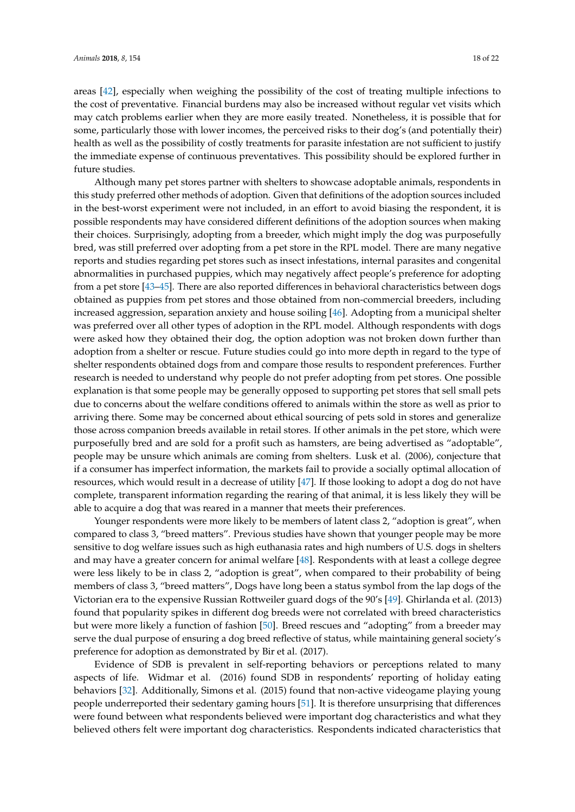areas [\[42\]](#page-21-4), especially when weighing the possibility of the cost of treating multiple infections to the cost of preventative. Financial burdens may also be increased without regular vet visits which may catch problems earlier when they are more easily treated. Nonetheless, it is possible that for some, particularly those with lower incomes, the perceived risks to their dog's (and potentially their) health as well as the possibility of costly treatments for parasite infestation are not sufficient to justify the immediate expense of continuous preventatives. This possibility should be explored further in future studies.

Although many pet stores partner with shelters to showcase adoptable animals, respondents in this study preferred other methods of adoption. Given that definitions of the adoption sources included in the best-worst experiment were not included, in an effort to avoid biasing the respondent, it is possible respondents may have considered different definitions of the adoption sources when making their choices. Surprisingly, adopting from a breeder, which might imply the dog was purposefully bred, was still preferred over adopting from a pet store in the RPL model. There are many negative reports and studies regarding pet stores such as insect infestations, internal parasites and congenital abnormalities in purchased puppies, which may negatively affect people's preference for adopting from a pet store [\[43](#page-21-5)[–45\]](#page-21-6). There are also reported differences in behavioral characteristics between dogs obtained as puppies from pet stores and those obtained from non-commercial breeders, including increased aggression, separation anxiety and house soiling [\[46\]](#page-21-7). Adopting from a municipal shelter was preferred over all other types of adoption in the RPL model. Although respondents with dogs were asked how they obtained their dog, the option adoption was not broken down further than adoption from a shelter or rescue. Future studies could go into more depth in regard to the type of shelter respondents obtained dogs from and compare those results to respondent preferences. Further research is needed to understand why people do not prefer adopting from pet stores. One possible explanation is that some people may be generally opposed to supporting pet stores that sell small pets due to concerns about the welfare conditions offered to animals within the store as well as prior to arriving there. Some may be concerned about ethical sourcing of pets sold in stores and generalize those across companion breeds available in retail stores. If other animals in the pet store, which were purposefully bred and are sold for a profit such as hamsters, are being advertised as "adoptable", people may be unsure which animals are coming from shelters. Lusk et al. (2006), conjecture that if a consumer has imperfect information, the markets fail to provide a socially optimal allocation of resources, which would result in a decrease of utility [\[47\]](#page-21-8). If those looking to adopt a dog do not have complete, transparent information regarding the rearing of that animal, it is less likely they will be able to acquire a dog that was reared in a manner that meets their preferences.

Younger respondents were more likely to be members of latent class 2, "adoption is great", when compared to class 3, "breed matters". Previous studies have shown that younger people may be more sensitive to dog welfare issues such as high euthanasia rates and high numbers of U.S. dogs in shelters and may have a greater concern for animal welfare [\[48\]](#page-21-9). Respondents with at least a college degree were less likely to be in class 2, "adoption is great", when compared to their probability of being members of class 3, "breed matters", Dogs have long been a status symbol from the lap dogs of the Victorian era to the expensive Russian Rottweiler guard dogs of the 90's [\[49\]](#page-21-10). Ghirlanda et al. (2013) found that popularity spikes in different dog breeds were not correlated with breed characteristics but were more likely a function of fashion [\[50\]](#page-21-11). Breed rescues and "adopting" from a breeder may serve the dual purpose of ensuring a dog breed reflective of status, while maintaining general society's preference for adoption as demonstrated by Bir et al. (2017).

Evidence of SDB is prevalent in self-reporting behaviors or perceptions related to many aspects of life. Widmar et al. (2016) found SDB in respondents' reporting of holiday eating behaviors [\[32\]](#page-20-19). Additionally, Simons et al. (2015) found that non-active videogame playing young people underreported their sedentary gaming hours [\[51\]](#page-21-12). It is therefore unsurprising that differences were found between what respondents believed were important dog characteristics and what they believed others felt were important dog characteristics. Respondents indicated characteristics that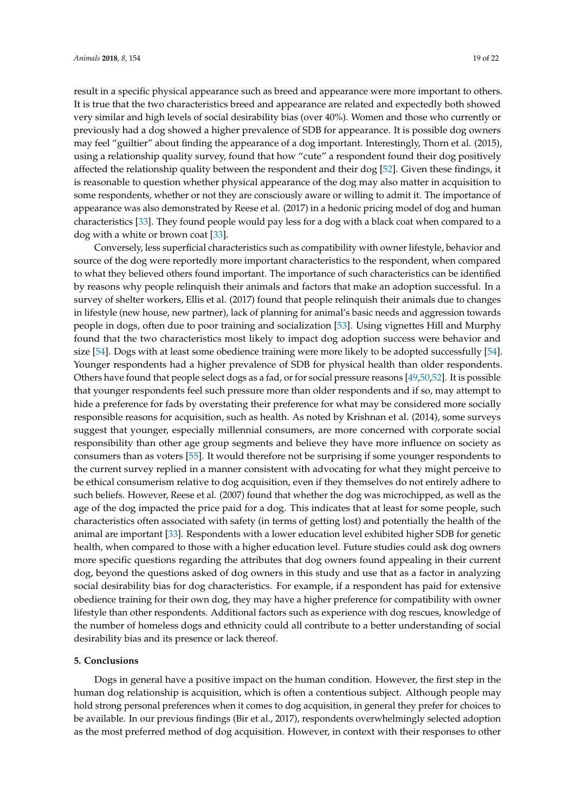result in a specific physical appearance such as breed and appearance were more important to others. It is true that the two characteristics breed and appearance are related and expectedly both showed very similar and high levels of social desirability bias (over 40%). Women and those who currently or previously had a dog showed a higher prevalence of SDB for appearance. It is possible dog owners may feel "guiltier" about finding the appearance of a dog important. Interestingly, Thorn et al. (2015), using a relationship quality survey, found that how "cute" a respondent found their dog positively affected the relationship quality between the respondent and their dog [\[52\]](#page-21-13). Given these findings, it is reasonable to question whether physical appearance of the dog may also matter in acquisition to some respondents, whether or not they are consciously aware or willing to admit it. The importance of appearance was also demonstrated by Reese et al. (2017) in a hedonic pricing model of dog and human characteristics [\[33\]](#page-20-20). They found people would pay less for a dog with a black coat when compared to a dog with a white or brown coat [\[33\]](#page-20-20).

Conversely, less superficial characteristics such as compatibility with owner lifestyle, behavior and source of the dog were reportedly more important characteristics to the respondent, when compared to what they believed others found important. The importance of such characteristics can be identified by reasons why people relinquish their animals and factors that make an adoption successful. In a survey of shelter workers, Ellis et al. (2017) found that people relinquish their animals due to changes in lifestyle (new house, new partner), lack of planning for animal's basic needs and aggression towards people in dogs, often due to poor training and socialization [\[53\]](#page-21-14). Using vignettes Hill and Murphy found that the two characteristics most likely to impact dog adoption success were behavior and size [\[54\]](#page-21-15). Dogs with at least some obedience training were more likely to be adopted successfully [\[54\]](#page-21-15). Younger respondents had a higher prevalence of SDB for physical health than older respondents. Others have found that people select dogs as a fad, or for social pressure reasons [\[49,](#page-21-10)[50](#page-21-11)[,52\]](#page-21-13). It is possible that younger respondents feel such pressure more than older respondents and if so, may attempt to hide a preference for fads by overstating their preference for what may be considered more socially responsible reasons for acquisition, such as health. As noted by Krishnan et al. (2014), some surveys suggest that younger, especially millennial consumers, are more concerned with corporate social responsibility than other age group segments and believe they have more influence on society as consumers than as voters [\[55\]](#page-21-16). It would therefore not be surprising if some younger respondents to the current survey replied in a manner consistent with advocating for what they might perceive to be ethical consumerism relative to dog acquisition, even if they themselves do not entirely adhere to such beliefs. However, Reese et al. (2007) found that whether the dog was microchipped, as well as the age of the dog impacted the price paid for a dog. This indicates that at least for some people, such characteristics often associated with safety (in terms of getting lost) and potentially the health of the animal are important [\[33\]](#page-20-20). Respondents with a lower education level exhibited higher SDB for genetic health, when compared to those with a higher education level. Future studies could ask dog owners more specific questions regarding the attributes that dog owners found appealing in their current dog, beyond the questions asked of dog owners in this study and use that as a factor in analyzing social desirability bias for dog characteristics. For example, if a respondent has paid for extensive obedience training for their own dog, they may have a higher preference for compatibility with owner lifestyle than other respondents. Additional factors such as experience with dog rescues, knowledge of the number of homeless dogs and ethnicity could all contribute to a better understanding of social desirability bias and its presence or lack thereof.

# **5. Conclusions**

Dogs in general have a positive impact on the human condition. However, the first step in the human dog relationship is acquisition, which is often a contentious subject. Although people may hold strong personal preferences when it comes to dog acquisition, in general they prefer for choices to be available. In our previous findings (Bir et al., 2017), respondents overwhelmingly selected adoption as the most preferred method of dog acquisition. However, in context with their responses to other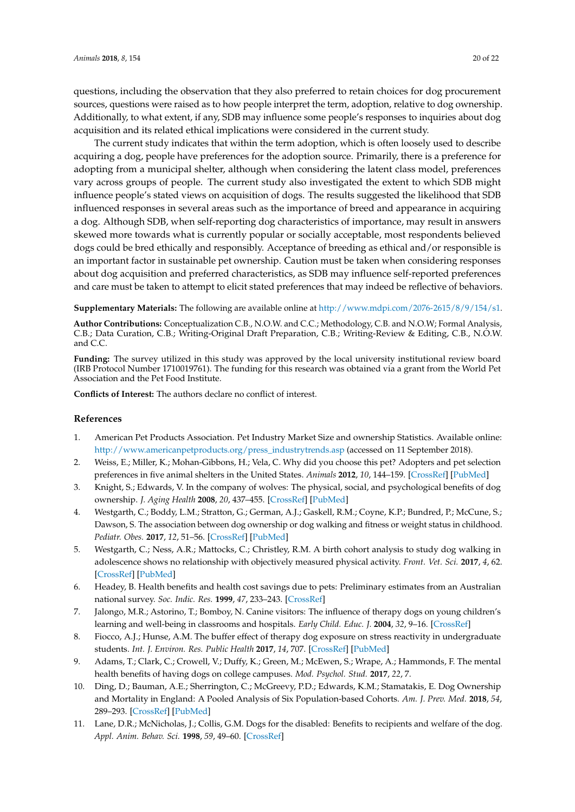questions, including the observation that they also preferred to retain choices for dog procurement sources, questions were raised as to how people interpret the term, adoption, relative to dog ownership. Additionally, to what extent, if any, SDB may influence some people's responses to inquiries about dog acquisition and its related ethical implications were considered in the current study.

The current study indicates that within the term adoption, which is often loosely used to describe acquiring a dog, people have preferences for the adoption source. Primarily, there is a preference for adopting from a municipal shelter, although when considering the latent class model, preferences vary across groups of people. The current study also investigated the extent to which SDB might influence people's stated views on acquisition of dogs. The results suggested the likelihood that SDB influenced responses in several areas such as the importance of breed and appearance in acquiring a dog. Although SDB, when self-reporting dog characteristics of importance, may result in answers skewed more towards what is currently popular or socially acceptable, most respondents believed dogs could be bred ethically and responsibly. Acceptance of breeding as ethical and/or responsible is an important factor in sustainable pet ownership. Caution must be taken when considering responses about dog acquisition and preferred characteristics, as SDB may influence self-reported preferences and care must be taken to attempt to elicit stated preferences that may indeed be reflective of behaviors.

**Supplementary Materials:** The following are available online at [http://www.mdpi.com/2076-2615/8/9/154/s1.](http://www.mdpi.com/2076-2615/8/9/154/s1)

**Author Contributions:** Conceptualization C.B., N.O.W. and C.C.; Methodology, C.B. and N.O.W; Formal Analysis, C.B.; Data Curation, C.B.; Writing-Original Draft Preparation, C.B.; Writing-Review & Editing, C.B., N.O.W. and C.C.

**Funding:** The survey utilized in this study was approved by the local university institutional review board (IRB Protocol Number 1710019761). The funding for this research was obtained via a grant from the World Pet Association and the Pet Food Institute.

**Conflicts of Interest:** The authors declare no conflict of interest.

# **References**

- <span id="page-19-0"></span>1. American Pet Products Association. Pet Industry Market Size and ownership Statistics. Available online: [http://www.americanpetproducts.org/press\\_industrytrends.asp](http://www.americanpetproducts.org/press_industrytrends.asp) (accessed on 11 September 2018).
- <span id="page-19-1"></span>2. Weiss, E.; Miller, K.; Mohan-Gibbons, H.; Vela, C. Why did you choose this pet? Adopters and pet selection preferences in five animal shelters in the United States. *Animals* **2012**, *10*, 144–159. [\[CrossRef\]](http://dx.doi.org/10.3390/ani2020144) [\[PubMed\]](http://www.ncbi.nlm.nih.gov/pubmed/26486914)
- <span id="page-19-2"></span>3. Knight, S.; Edwards, V. In the company of wolves: The physical, social, and psychological benefits of dog ownership. *J. Aging Health* **2008**, *20*, 437–455. [\[CrossRef\]](http://dx.doi.org/10.1177/0898264308315875) [\[PubMed\]](http://www.ncbi.nlm.nih.gov/pubmed/18448686)
- <span id="page-19-3"></span>4. Westgarth, C.; Boddy, L.M.; Stratton, G.; German, A.J.; Gaskell, R.M.; Coyne, K.P.; Bundred, P.; McCune, S.; Dawson, S. The association between dog ownership or dog walking and fitness or weight status in childhood. *Pediatr. Obes.* **2017**, *12*, 51–56. [\[CrossRef\]](http://dx.doi.org/10.1111/ijpo.12176) [\[PubMed\]](http://www.ncbi.nlm.nih.gov/pubmed/27793067)
- <span id="page-19-4"></span>5. Westgarth, C.; Ness, A.R.; Mattocks, C.; Christley, R.M. A birth cohort analysis to study dog walking in adolescence shows no relationship with objectively measured physical activity. *Front. Vet. Sci.* **2017**, *4*, 62. [\[CrossRef\]](http://dx.doi.org/10.3389/fvets.2017.00062) [\[PubMed\]](http://www.ncbi.nlm.nih.gov/pubmed/28560222)
- <span id="page-19-5"></span>6. Headey, B. Health benefits and health cost savings due to pets: Preliminary estimates from an Australian national survey. *Soc. Indic. Res.* **1999**, *47*, 233–243. [\[CrossRef\]](http://dx.doi.org/10.1023/A:1006892908532)
- <span id="page-19-6"></span>7. Jalongo, M.R.; Astorino, T.; Bomboy, N. Canine visitors: The influence of therapy dogs on young children's learning and well-being in classrooms and hospitals. *Early Child. Educ. J.* **2004**, *32*, 9–16. [\[CrossRef\]](http://dx.doi.org/10.1023/B:ECEJ.0000039638.60714.5f)
- <span id="page-19-7"></span>8. Fiocco, A.J.; Hunse, A.M. The buffer effect of therapy dog exposure on stress reactivity in undergraduate students. *Int. J. Environ. Res. Public Health* **2017**, *14*, 707. [\[CrossRef\]](http://dx.doi.org/10.3390/ijerph14070707) [\[PubMed\]](http://www.ncbi.nlm.nih.gov/pubmed/28665340)
- <span id="page-19-8"></span>9. Adams, T.; Clark, C.; Crowell, V.; Duffy, K.; Green, M.; McEwen, S.; Wrape, A.; Hammonds, F. The mental health benefits of having dogs on college campuses. *Mod. Psychol. Stud.* **2017**, *22*, 7.
- <span id="page-19-9"></span>10. Ding, D.; Bauman, A.E.; Sherrington, C.; McGreevy, P.D.; Edwards, K.M.; Stamatakis, E. Dog Ownership and Mortality in England: A Pooled Analysis of Six Population-based Cohorts. *Am. J. Prev. Med.* **2018**, *54*, 289–293. [\[CrossRef\]](http://dx.doi.org/10.1016/j.amepre.2017.09.012) [\[PubMed\]](http://www.ncbi.nlm.nih.gov/pubmed/29241716)
- <span id="page-19-10"></span>11. Lane, D.R.; McNicholas, J.; Collis, G.M. Dogs for the disabled: Benefits to recipients and welfare of the dog. *Appl. Anim. Behav. Sci.* **1998**, *59*, 49–60. [\[CrossRef\]](http://dx.doi.org/10.1016/S0168-1591(98)00120-8)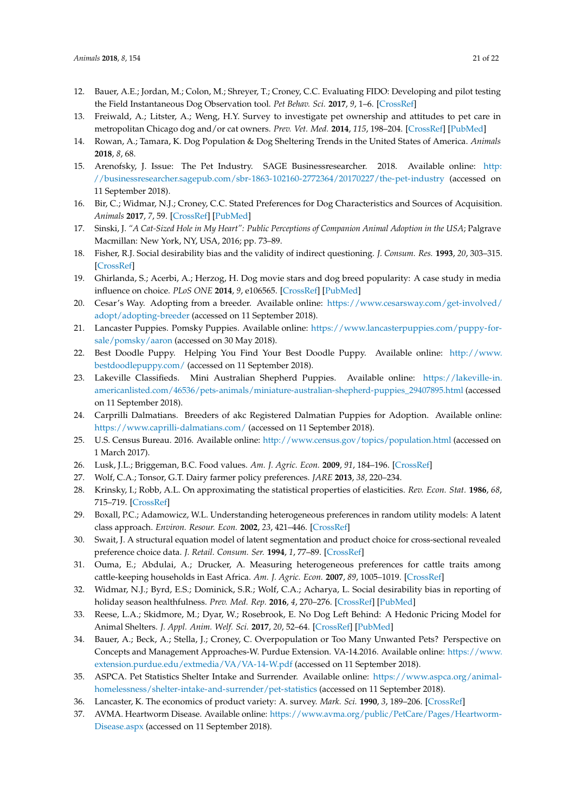- <span id="page-20-0"></span>12. Bauer, A.E.; Jordan, M.; Colon, M.; Shreyer, T.; Croney, C.C. Evaluating FIDO: Developing and pilot testing the Field Instantaneous Dog Observation tool. *Pet Behav. Sci.* **2017**, *9*, 1–6. [\[CrossRef\]](http://dx.doi.org/10.21071/pbs.v0i4.5766)
- <span id="page-20-1"></span>13. Freiwald, A.; Litster, A.; Weng, H.Y. Survey to investigate pet ownership and attitudes to pet care in metropolitan Chicago dog and/or cat owners. *Prev. Vet. Med.* **2014**, *115*, 198–204. [\[CrossRef\]](http://dx.doi.org/10.1016/j.prevetmed.2014.03.025) [\[PubMed\]](http://www.ncbi.nlm.nih.gov/pubmed/24774476)
- <span id="page-20-2"></span>14. Rowan, A.; Tamara, K. Dog Population & Dog Sheltering Trends in the United States of America. *Animals* **2018**, *8*, 68.
- <span id="page-20-3"></span>15. Arenofsky, J. Issue: The Pet Industry. SAGE Businessresearcher. 2018. Available online: [http:](http://businessresearcher.sagepub.com/sbr-1863-102160-2772364/20170227/the-pet-industry) [//businessresearcher.sagepub.com/sbr-1863-102160-2772364/20170227/the-pet-industry](http://businessresearcher.sagepub.com/sbr-1863-102160-2772364/20170227/the-pet-industry) (accessed on 11 September 2018).
- <span id="page-20-4"></span>16. Bir, C.; Widmar, N.J.; Croney, C.C. Stated Preferences for Dog Characteristics and Sources of Acquisition. *Animals* **2017**, *7*, 59. [\[CrossRef\]](http://dx.doi.org/10.3390/ani7080059) [\[PubMed\]](http://www.ncbi.nlm.nih.gov/pubmed/28783072)
- <span id="page-20-5"></span>17. Sinski, J. *"A Cat-Sized Hole in My Heart": Public Perceptions of Companion Animal Adoption in the USA*; Palgrave Macmillan: New York, NY, USA, 2016; pp. 73–89.
- <span id="page-20-6"></span>18. Fisher, R.J. Social desirability bias and the validity of indirect questioning. *J. Consum. Res.* **1993**, *20*, 303–315. [\[CrossRef\]](http://dx.doi.org/10.1086/209351)
- <span id="page-20-7"></span>19. Ghirlanda, S.; Acerbi, A.; Herzog, H. Dog movie stars and dog breed popularity: A case study in media influence on choice. *PLoS ONE* **2014**, *9*, e106565. [\[CrossRef\]](http://dx.doi.org/10.1371/journal.pone.0106565) [\[PubMed\]](http://www.ncbi.nlm.nih.gov/pubmed/25208271)
- <span id="page-20-8"></span>20. Cesar's Way. Adopting from a breeder. Available online: [https://www.cesarsway.com/get-involved/](https://www.cesarsway.com/get-involved/adopt/adopting-breeder) [adopt/adopting-breeder](https://www.cesarsway.com/get-involved/adopt/adopting-breeder) (accessed on 11 September 2018).
- <span id="page-20-9"></span>21. Lancaster Puppies. Pomsky Puppies. Available online: [https://www.lancasterpuppies.com/puppy-for](https://www.lancasterpuppies.com/puppy-for-sale/pomsky/aaron)[sale/pomsky/aaron](https://www.lancasterpuppies.com/puppy-for-sale/pomsky/aaron) (accessed on 30 May 2018).
- <span id="page-20-10"></span>22. Best Doodle Puppy. Helping You Find Your Best Doodle Puppy. Available online: [http://www.](http://www.bestdoodlepuppy.com/) [bestdoodlepuppy.com/](http://www.bestdoodlepuppy.com/) (accessed on 11 September 2018).
- 23. Lakeville Classifieds. Mini Australian Shepherd Puppies. Available online: [https://lakeville-in.](https://lakeville-in.americanlisted.com/46536/pets-animals/miniature-australian-shepherd-puppies_29407895.html) [americanlisted.com/46536/pets-animals/miniature-australian-shepherd-puppies\\_29407895.html](https://lakeville-in.americanlisted.com/46536/pets-animals/miniature-australian-shepherd-puppies_29407895.html) (accessed on 11 September 2018).
- <span id="page-20-11"></span>24. Carprilli Dalmatians. Breeders of akc Registered Dalmatian Puppies for Adoption. Available online: <https://www.caprilli-dalmatians.com/> (accessed on 11 September 2018).
- <span id="page-20-12"></span>25. U.S. Census Bureau. 2016. Available online: <http://www.census.gov/topics/population.html> (accessed on 1 March 2017).
- <span id="page-20-13"></span>26. Lusk, J.L.; Briggeman, B.C. Food values. *Am. J. Agric. Econ.* **2009**, *91*, 184–196. [\[CrossRef\]](http://dx.doi.org/10.1111/j.1467-8276.2008.01175.x)
- <span id="page-20-14"></span>27. Wolf, C.A.; Tonsor, G.T. Dairy farmer policy preferences. *JARE* **2013**, *38*, 220–234.
- <span id="page-20-15"></span>28. Krinsky, I.; Robb, A.L. On approximating the statistical properties of elasticities. *Rev. Econ. Stat.* **1986**, *68*, 715–719. [\[CrossRef\]](http://dx.doi.org/10.2307/1924536)
- <span id="page-20-16"></span>29. Boxall, P.C.; Adamowicz, W.L. Understanding heterogeneous preferences in random utility models: A latent class approach. *Environ. Resour. Econ.* **2002**, *23*, 421–446. [\[CrossRef\]](http://dx.doi.org/10.1023/A:1021351721619)
- <span id="page-20-17"></span>30. Swait, J. A structural equation model of latent segmentation and product choice for cross-sectional revealed preference choice data. *J. Retail. Consum. Ser.* **1994**, *1*, 77–89. [\[CrossRef\]](http://dx.doi.org/10.1016/0969-6989(94)90002-7)
- <span id="page-20-18"></span>31. Ouma, E.; Abdulai, A.; Drucker, A. Measuring heterogeneous preferences for cattle traits among cattle-keeping households in East Africa. *Am. J. Agric. Econ.* **2007**, *89*, 1005–1019. [\[CrossRef\]](http://dx.doi.org/10.1111/j.1467-8276.2007.01022.x)
- <span id="page-20-19"></span>32. Widmar, N.J.; Byrd, E.S.; Dominick, S.R.; Wolf, C.A.; Acharya, L. Social desirability bias in reporting of holiday season healthfulness. *Prev. Med. Rep.* **2016**, *4*, 270–276. [\[CrossRef\]](http://dx.doi.org/10.1016/j.pmedr.2016.06.017) [\[PubMed\]](http://www.ncbi.nlm.nih.gov/pubmed/27453811)
- <span id="page-20-20"></span>33. Reese, L.A.; Skidmore, M.; Dyar, W.; Rosebrook, E. No Dog Left Behind: A Hedonic Pricing Model for Animal Shelters. *J. Appl. Anim. Welf. Sci.* **2017**, *20*, 52–64. [\[CrossRef\]](http://dx.doi.org/10.1080/10888705.2016.1236693) [\[PubMed\]](http://www.ncbi.nlm.nih.gov/pubmed/27715313)
- <span id="page-20-21"></span>34. Bauer, A.; Beck, A.; Stella, J.; Croney, C. Overpopulation or Too Many Unwanted Pets? Perspective on Concepts and Management Approaches-W. Purdue Extension. VA-14.2016. Available online: [https://www.](https://www.extension.purdue.edu/extmedia/VA/VA-14-W.pdf) [extension.purdue.edu/extmedia/VA/VA-14-W.pdf](https://www.extension.purdue.edu/extmedia/VA/VA-14-W.pdf) (accessed on 11 September 2018).
- <span id="page-20-22"></span>35. ASPCA. Pet Statistics Shelter Intake and Surrender. Available online: [https://www.aspca.org/animal](https://www.aspca.org/animal-homelessness/shelter-intake-and-surrender/pet-statistics)[homelessness/shelter-intake-and-surrender/pet-statistics](https://www.aspca.org/animal-homelessness/shelter-intake-and-surrender/pet-statistics) (accessed on 11 September 2018).
- <span id="page-20-23"></span>36. Lancaster, K. The economics of product variety: A. survey. *Mark. Sci.* **1990**, *3*, 189–206. [\[CrossRef\]](http://dx.doi.org/10.1287/mksc.9.3.189)
- <span id="page-20-24"></span>37. AVMA. Heartworm Disease. Available online: [https://www.avma.org/public/PetCare/Pages/Heartworm-](https://www.avma.org/public/PetCare/Pages/Heartworm-Disease.aspx)[Disease.aspx](https://www.avma.org/public/PetCare/Pages/Heartworm-Disease.aspx) (accessed on 11 September 2018).